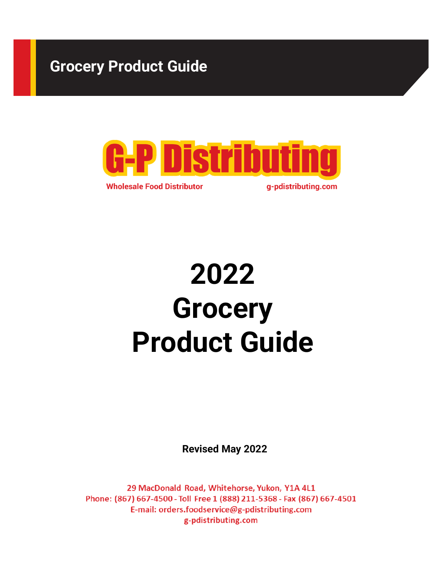# Grocery Product Guide



2022 **Grocery** Product Guide

Revised May 2022

29 MacDonald Road, Whitehorse, Yukon, Y1A 4L1 Phone: (867) 667-4500 - Toll Free 1 (888) 211-5368 - Fax (867) 667-4501 E-mail: orders.foodservice@g-pdistributing.com g-pdistributing.com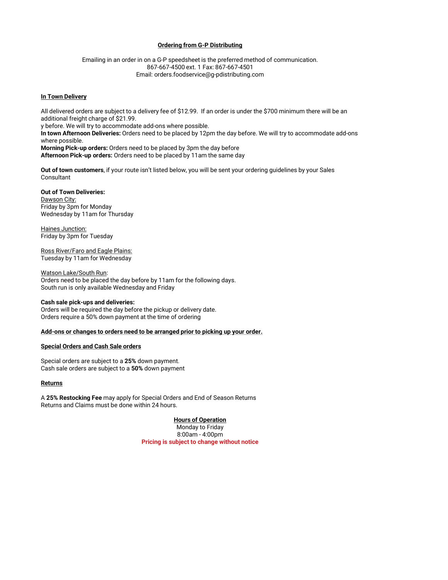#### Ordering from G-P Distributing

**Ordering from G-P Distributing**<br>
Emailing in an order in on a G-P speedsheet is the preferred method of communication.<br>
867-667-4500 ext. 1 Fax: 867-667-4501<br>
Email: orders.foodservice@g-pdistributing.com<br> **ry**<br> **r** 867-667-4500 ext. 1 Fax: 867-667-4501 Email: orders.foodservice@g-pdistributing.com

**Scheing from G-P Distributing**<br>
Emailing in an order in on a G-P speedsheet is the preferred method of commeters<br>
867-667-4500 ext. 1 Fax: 867-667-4501<br>
Email: orders.foodservice@g-pdistributing.com<br> **In Town Delivery**<br>
A All delivered orders are subject to a delivery fee of \$12.99. If an order is under the \$700 minimum there will be an additional freight charge of \$21.99. y before. We will try to accommodate add-ons where possible. In town Afternoon Deliveries: Orders need to be placed by 12pm the day before. We will try to accommodate add-ons where possible. Morning Pick-up orders: Orders need to be placed by 3pm the day before Afternoon Pick-up orders: Orders need to be placed by 11am the same day

Out of town customers, if your route isn't listed below, you will be sent your ordering guidelines by your Sales Consultant

Out of Town Deliveries: Dawson City: Friday by 3pm for Monday Wednesday by 11am for Thursday

**Haines Junction:** Friday by 3pm for Tuesday

Ross River/Faro and Eagle Plains: Tuesday by 11am for Wednesday

Watson Lake/South Run: Orders need to be placed the day before by 11am for the following days. South run is only available Wednesday and Friday Consultant<br>Out of Town Deliveries:<br>Dawson City:<br>Friday by 3pm for Monday<br>Wednesday by 11am for Thursday<br>Haine<u>s Junction:</u><br>Tuesday by 11am for Tweday<br>Tuesday by 11am for Wednesday<br>Tuesday Dy 11am for Wednesday<br>Watson Lake/

#### Cash sale pick-ups and deliveries:

Orders will be required the day before the pickup or delivery date. Orders require a 50% down payment at the time of ordering

Add-ons or changes to orders need to be arranged prior to picking up your order.

#### Special Orders and Cash Sale orders

Cash sale orders are subject to a 50% down payment

### **Returns**

A 25% Restocking Fee may apply for Special Orders and End of Season Returns Returns and Claims must be done within 24 hours.

#### Hours of Operation

Monday to Friday<br>8:00am - 4:00pm from the following days.<br>The diviery date.<br>The diviery date.<br>A prior to picking up your order.<br>And the diviery of Operation<br>Monday to Friday<br>Monday to Friday<br>8:00am - 4:00pm<br>8:00am - 4:00pm<br>piect to change without notice Pricing is subject to change without notice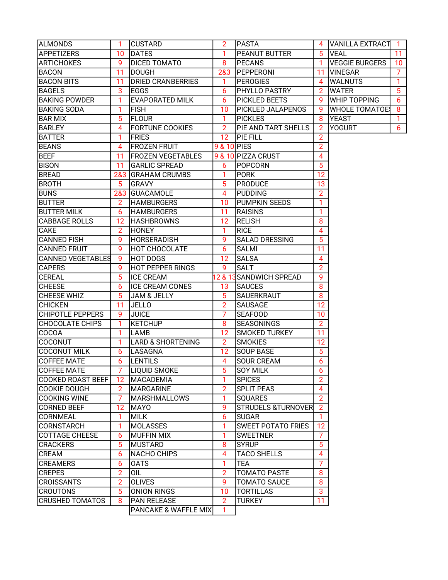| ALMONDS                                        | 1               | <b>CUSTARD</b>               | 2               | <b>PASTA</b>                  | 4                   | IVANILLA EXTRACTI     | 1  |
|------------------------------------------------|-----------------|------------------------------|-----------------|-------------------------------|---------------------|-----------------------|----|
| <b>APPETIZERS</b>                              | 10              | <b>DATES</b>                 | 1               | <b>PEANUT BUTTER</b>          | 5                   | <b>VEAL</b>           | 11 |
| <b>ARTICHOKES</b>                              | 9               | DICED TOMATO                 | 8               | <b>PECANS</b>                 | 1                   | <b>VEGGIE BURGERS</b> | 10 |
| <b>BACON</b>                                   | 11              | <b>DOUGH</b>                 | 2&3             | <b>PEPPERONI</b>              | 11                  | <b>VINEGAR</b>        | 7  |
| <b>BACON BITS</b>                              | 11              | <b>DRIED CRANBERRIES</b>     | 1               | <b>PEROGIES</b>               | 4                   | <b>WALNUTS</b>        | 1  |
| <b>BAGELS</b>                                  | 3               | <b>EGGS</b>                  | 6               | <b>PHYLLO PASTRY</b>          | 2                   | <b>WATER</b>          | 5  |
| <b>BAKING POWDER</b>                           | 1               | <b>EVAPORATED MILK</b>       | 6               | <b>PICKLED BEETS</b>          | 9                   | <b>WHIP TOPPING</b>   | 6  |
| <b>BAKING SODA</b>                             | 1               | <b>FISH</b>                  | 10              | <b>PICKLED JALAPENOS</b>      | 9                   | <b>WHOLE TOMATOE</b>  | 8  |
| <b>BAR MIX</b>                                 | 5               | <b>FLOUR</b>                 | 1               | <b>PICKLES</b>                | 8                   | <b>YEAST</b>          | 1. |
| <b>BARLEY</b>                                  | 4               | <b>FORTUNE COOKIES</b>       | $\overline{2}$  | PIE AND TART SHELLS           | 2                   | <b>YOGURT</b>         | 6  |
| <b>BATTER</b>                                  | 1               | <b>FRIES</b>                 | 12 <sup>2</sup> | PIE FILL                      | 2                   |                       |    |
| <b>BEANS</b>                                   | 4               | <b>FROZEN FRUIT</b>          | 9 & 10 PIES     |                               | $\overline{2}$      |                       |    |
| <b>BEEF</b>                                    | 11              | <b>FROZEN VEGETABLES</b>     |                 | 9 & 10 PIZZA CRUST            | 4                   |                       |    |
| <b>BISON</b>                                   | 11              | <b>GARLIC SPREAD</b>         | 6               | <b>POPCORN</b>                | 5                   |                       |    |
| <b>BREAD</b>                                   | 2&3             | <b>GRAHAM CRUMBS</b>         | 1               | <b>PORK</b>                   | 12                  |                       |    |
| <b>BROTH</b>                                   | 5               | <b>GRAVY</b>                 | 5               | <b>PRODUCE</b>                | 13                  |                       |    |
| <b>BUNS</b>                                    | 2&3             | <b>GUACAMOLE</b>             | 4               | <b>PUDDING</b>                | $\overline{2}$      |                       |    |
| <b>BUTTER</b>                                  | 2               | <b>HAMBURGERS</b>            | 10              | <b>PUMPKIN SEEDS</b>          | 1                   |                       |    |
| <b>BUTTER MILK</b>                             | 6               | <b>HAMBURGERS</b>            | 11              | <b>RAISINS</b>                | 1                   |                       |    |
| <b>CABBAGE ROLLS</b>                           | 12              | <b>HASHBROWNS</b>            | 12              | <b>RELISH</b>                 | 8                   |                       |    |
| CAKE                                           | $\overline{2}$  | <b>HONEY</b>                 | 1               | <b>RICE</b>                   | 4                   |                       |    |
| <b>CANNED FISH</b>                             | 9               | <b>HORSERADISH</b>           | 9               | <b>SALAD DRESSING</b>         | 5                   |                       |    |
| <b>CANNED FRUIT</b>                            | 9               | <b>HOT CHOCOLATE</b>         | 6               | <b>SALMI</b>                  | 11                  |                       |    |
| <b>CANNED VEGETABLES</b>                       | 9               | <b>HOT DOGS</b>              | 12              | <b>SALSA</b>                  | 4                   |                       |    |
| <b>CAPERS</b>                                  | 9               | <b>HOT PEPPER RINGS</b>      | 9               | <b>SALT</b>                   | 2                   |                       |    |
| <b>CEREAL</b>                                  | 5               | <b>ICE CREAM</b>             | 12 & 13         | <b>SANDWICH SPREAD</b>        | 9                   |                       |    |
| <b>CHEESE</b>                                  | 6               | <b>ICE CREAM CONES</b>       | 13              | <b>SAUCES</b>                 | 8                   |                       |    |
| CHEESE WHIZ                                    | 5               | <b>JAM &amp; JELLY</b>       | 5               | <b>SAUERKRAUT</b>             | 8                   |                       |    |
| <b>CHICKEN</b>                                 | 11              | <b>JELLO</b>                 | $\overline{2}$  | <b>SAUSAGE</b>                | 12                  |                       |    |
| <b>CHIPOTLE PEPPERS</b>                        | 9               | <b>JUICE</b>                 | 7               | <b>SEAFOOD</b>                | 10                  |                       |    |
| <b>CHOCOLATE CHIPS</b>                         | 1               | <b>KETCHUP</b>               | 8               | <b>SEASONINGS</b>             | $\overline{2}$      |                       |    |
| COCOA                                          | 1               | LAMB                         | 12              | <b>SMOKED TURKEY</b>          | 11                  |                       |    |
| COCONUT                                        | 1               | <b>LARD &amp; SHORTENING</b> | 2               | <b>SMOKIES</b>                | 12                  |                       |    |
|                                                |                 |                              |                 |                               | 5                   |                       |    |
| <b>COCONUT MILK</b>                            | 6               | LASAGNA                      | 12              | <b>SOUP BASE</b>              |                     |                       |    |
| <b>COFFEE MATE</b>                             | 6               | <b>LENTILS</b>               | 4               | <b>SOUR CREAM</b>             | 6                   |                       |    |
| <b>COFFEE MATE</b><br><b>COOKED ROAST BEEF</b> | 12 <sup>2</sup> | <b>LIQUID SMOKE</b>          | 5<br>1          | <b>SOY MILK</b>               | 6<br>$\overline{2}$ |                       |    |
| <b>COOKIE DOUGH</b>                            | 2 <sup>1</sup>  | <b>MACADEMIA</b>             | $\overline{2}$  | <b>SPICES</b>                 | 4                   |                       |    |
|                                                | $\overline{7}$  | MARGARINE                    |                 | <b>SPLIT PEAS</b>             | $\overline{2}$      |                       |    |
| <b>COOKING WINE</b>                            |                 | <b>MARSHMALLOWS</b>          | 1               | <b>SQUARES</b>                |                     |                       |    |
| <b>CORNED BEEF</b>                             | 12              | <b>MAYO</b>                  | 9               | <b>STRUDELS &amp;TURNOVER</b> | $\overline{2}$      |                       |    |
| CORNMEAL                                       | 1               | <b>MILK</b>                  | 6               | <b>SUGAR</b>                  | 1.                  |                       |    |
| CORNSTARCH                                     | 1               | <b>MOLASSES</b>              | 1               | <b>SWEET POTATO FRIES</b>     | 12                  |                       |    |
| <b>COTTAGE CHEESE</b>                          | 6               | <b>MUFFIN MIX</b>            | 1               | <b>SWEETNER</b>               | 7                   |                       |    |
| <b>CRACKERS</b>                                | 5               | <b>MUSTARD</b>               | 8               | <b>SYRUP</b>                  | 5                   |                       |    |
| CREAM                                          | 6               | <b>NACHO CHIPS</b>           | 4               | <b>TACO SHELLS</b>            | 4                   |                       |    |
| <b>CREAMERS</b>                                | 6               | <b>OATS</b>                  | 1               | TEA                           | 7                   |                       |    |
| <b>CREPES</b>                                  | $\overline{2}$  | OIL                          | 2               | <b>TOMATO PASTE</b>           | 8                   |                       |    |
| <b>CROISSANTS</b>                              | 2               | <b>OLIVES</b>                | 9               | <b>TOMATO SAUCE</b>           | 8                   |                       |    |
| <b>CROUTONS</b>                                | 5               | <b>ONION RINGS</b>           | 10              | <b>TORTILLAS</b>              | 3                   |                       |    |
| <b>CRUSHED TOMATOS</b>                         | 8               | <b>PAN RELEASE</b>           | 2               | <b>TURKEY</b>                 | 11                  |                       |    |
|                                                |                 | PANCAKE & WAFFLE MIX         | 1               |                               |                     |                       |    |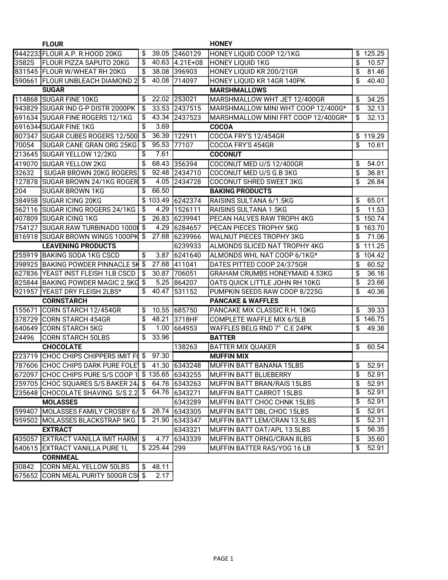|       | <b>FLOUR</b>                                        |                           |          |               | <b>HONEY</b>                          |                 |          |
|-------|-----------------------------------------------------|---------------------------|----------|---------------|---------------------------------------|-----------------|----------|
|       | 9442233 FLOUR A.P. R.HOOD 20KG                      | \$                        | 39.05    | 2460129       | HONEY LIQUID COOP 12/1KG              | \$              | 125.25   |
| 3582S | <b>FLOUR PIZZA SAPUTO 20KG</b>                      | \$                        | 40.63    | $4.21E + 08$  | <b>HONEY LIQUID 1KG</b>               | \$              | 10.57    |
|       | 831545 FLOUR W/WHEAT RH 20KG                        | \$                        |          | 38.08 396903  | HONEY LIQUID KR 200/21GR              | \$              | 81.46    |
|       | 590661 FLOUR UNBLEACH DIAMOND 2                     | $\overline{\$}$           | 40.08    | 714097        | HONEY LIQUID KR 14GR 140PK            | \$              | 40.40    |
|       | <b>SUGAR</b>                                        |                           |          |               | <b>MARSHMALLOWS</b>                   |                 |          |
|       | 114868 SUGAR FINE 10KG                              | \$                        |          | 22.02 253021  | MARSHMALLOW WHT JET 12/400GR          | \$              | 34.25    |
|       | 943829 SUGAR IND G-P DISTR 2000PK                   | \$                        |          | 33.53 2437515 | MARSHMALLOW MINI WHT COOP 12/400G*    | \$              | 32.13    |
|       | 691634  SUGAR FINE ROGERS 12/1KG                    | \$                        | 43.34    | 2437523       | MARSHMALLOW MINI FRT COOP 12/400GR*   | \$              | 32.13    |
|       | 6916344SUGAR FINE 1KG                               | \$                        | 3.69     |               | <b>COCOA</b>                          |                 |          |
|       | 807347 SUGAR CUBES ROGERS 12/500                    | $\$\$                     | 36.39    | 122911        | <b>COCOA FRY'S 12/454GR</b>           |                 | \$119.29 |
| 70054 | <b>SUGAR CANE GRAN ORG 25KG</b>                     | \$                        | 95.53    | 77107         | COCOA FRY'S 454GR                     | \$              | 10.61    |
|       | 213645 SUGAR YELLOW 12/2KG                          | \$                        | 7.61     |               | <b>COCONUT</b>                        |                 |          |
|       | 419070 SUGAR YELLOW 2KG                             | \$                        | 68.43    | 356394        | COCONUT MED U/S 12/400GR              | \$              | 54.01    |
| 32632 | SUGAR BROWN 20KG ROGERS \$                          |                           | 92.48    | 2434710       | COCONUT MED U/S G.B 3KG               | \$              | 36.81    |
|       | 127878 SUGAR BROWN 24/1KG ROGER \$                  |                           | 4.05     | 2434728       | COCONUT SHRED SWEET 3KG               | \$              | 26.84    |
| 204   | <b>SUGAR BROWN 1KG</b>                              | \$                        | 66.50    |               | <b>BAKING PRODUCTS</b>                |                 |          |
|       | 384958 SUGAR ICING 20KG                             |                           | \$103.49 | 6242374       | RAISINS SULTANA 6/1.5KG               | \$              | 65.01    |
|       | 562116  SUGAR ICING ROGERS 24/1KG                   | \$                        | 4.29     | 1526111       | RAISINS SULTANA 1.5KG                 | \$              | 11.53    |
|       | 407809 SUGAR ICING 1KG                              | \$                        | 26.83    | 6239941       | PECAN HALVES RAW TROPH 4KG            | \$              | 150.74   |
|       | 754127 SUGAR RAW TURBINADO 10001 \$                 |                           | 4.29     | 6284657       | PECAN PIECES TROPHY 5KG               | \$              | 163.70   |
|       | 816918 SUGAR BROWN WINGS 1000PK                     | \$                        | 27.68    | 6239966       | <b>WALNUT PIECES TROPHY 3KG</b>       | \$              | 71.06    |
|       | <b>LEAVENING PRODUCTS</b>                           |                           |          | 6239933       | ALMONDS SLICED NAT TROPHY 4KG         | \$              | 111.25   |
|       | 255919 BAKING SODA 1KG CSCD                         | \$                        | 3.87     | 6241640       | ALMONDS WHL NAT COOP 6/1KG*           | \$              | 104.42   |
|       | 398925 BAKING POWDER PINNACLE 5H                    | $\boldsymbol{\mathsf{S}}$ | 27.68    | 411041        | DATES PITTED COOP 24/375GR            | \$              | 60.52    |
|       | 627836 YEAST INST FLEISH 1LB CSCD                   | \$                        | 30.87    | 706051        | <b>GRAHAM CRUMBS HONEYMAID 4.53KG</b> | \$              | 36.16    |
|       | 825844  BAKING POWDER MAGIC 2.5KG                   | \$                        | 5.25     | 864207        | OATS QUICK LITTLE JOHN RH 10KG        | $\frac{1}{2}$   | 23.66    |
|       | 921957 YEAST DRY FLEISH 2LBS*                       | \$                        | 40.47    | 531152        | PUMPKIN SEEDS RAW COOP 8/225G         | \$              | 40.36    |
|       | <b>CORNSTARCH</b>                                   |                           |          |               | <b>PANCAKE &amp; WAFFLES</b>          |                 |          |
|       | 155671 CORN STARCH 12/454GR                         | \$                        |          | 10.55 685750  | PANCAKE MIX CLASSIC R.H. 10KG         | \$              | 39.33    |
|       | 378729   CORN STARCH 454GR                          | \$                        | 48.21    | 3718HF        | <b>COMPLETE WAFFLE MIX 6/5LB</b>      | \$              | 146.75   |
|       | 640649  CORN STARCH 5KG                             | \$                        | 1.00     | 664953        | WAFFLES BELG RND 7" C.E 24PK          | \$              | 49.36    |
| 24496 | CORN STARCH 50LBS                                   | \$                        | 33.96    |               | <b>BATTER</b>                         |                 |          |
|       | <b>CHOCOLATE</b>                                    |                           |          | 138263        | <b>BATTER MIX QUAKER</b>              | \$              | 60.54    |
|       | 223719 CHOC CHIPS CHIPPERS IMIT FOS                 |                           | 97.30    |               | <b>MUFFIN MIX</b>                     |                 |          |
|       | 787606 CHOC CHIPS DARK PURE FOLE \$ 41.30 6343248   |                           |          |               | İMUFFIN BATT BANANA 15LBS             | \$              | 52.91    |
|       | 672097 CHOC CHIPS PURE S/S COOP 1 \$ 135.65 6343255 |                           |          |               | MUFFIN BATT BLUEBERRY                 | \$              | 52.91    |
|       | 259705 CHOC SQUARES S/S BAKER 24 \$ 64.76           |                           |          | 6343263       | MUFFIN BATT BRAN/RAIS 15LBS           | $\overline{\$}$ | 52.91    |
|       | 235648 CHOCOLATE SHAVING S/S 2.2 \$ 64.76           |                           |          | 6343271       | <b>MUFFIN BATT CARROT 15LBS</b>       | $\overline{\$}$ | 52.91    |
|       | <b>MOLASSES</b>                                     |                           |          | 6343289       | MUFFIN BATT CHOC CHNK 15LBS           | \$              | 52.91    |
|       | 599407 MOLASSES FAMILY CROSBY 6/                    | \$                        | 28.74    | 6343305       | MUFFIN BATT DBL CHOC 15LBS            | \$              | 52.91    |
|       | 959502 MOLASSES BLACKSTRAP 5KG                      | S                         | 21.90    | 6343347       | MUFFIN BATT LEM/CRAN 13.5LBS          | \$              | 52.31    |
|       | <b>EXTRACT</b>                                      |                           |          | 6343321       | MUFFIN BATT OAT/APL 13.5LBS           | \$              | 56.35    |
|       | 435057 EXTRACT VANILLA IMIT HARM                    | \$                        | 4.77     | 6343339       | MUFFIN BATT ORNG/CRAN 8LBS            | \$              | 35.60    |
|       | 640615 EXTRACT VANILLA PURE 1L                      |                           | \$225.44 | 299           | MUFFIN BATTER RAS/YOG 16 LB           | \$              | 52.91    |
|       | <b>CORNMEAL</b>                                     |                           |          |               |                                       |                 |          |
| 30842 | <b>CORN MEAL YELLOW 50LBS</b>                       | \$                        | 48.11    |               |                                       |                 |          |
|       | 675652 CORN MEAL PURITY 500GR CS                    | \$                        | 2.17     |               |                                       |                 |          |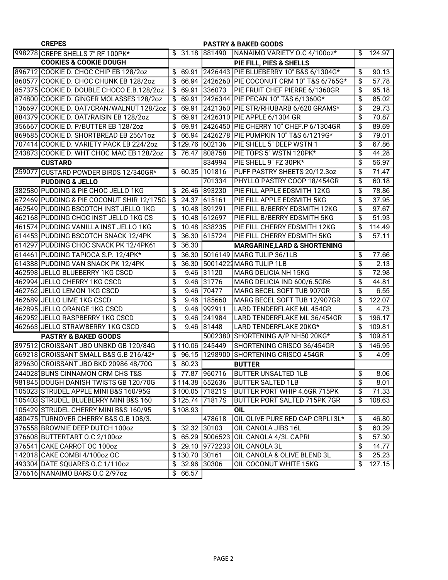| <b>CREPES</b>                             |                |                 | <b>PASTRY &amp; BAKED GOODS</b>               |                          |        |
|-------------------------------------------|----------------|-----------------|-----------------------------------------------|--------------------------|--------|
| 998278 CREPE SHELLS 7" RF 100PK*          |                |                 | \$ 31.18 881490 NANAIMO VARIETY O.C 4/100oz*  | \$                       | 124.97 |
| <b>COOKIES &amp; COOKIE DOUGH</b>         |                |                 | PIE FILL, PIES & SHELLS                       |                          |        |
| 896712 COOKIE D. CHOC CHIP EB 128/2oz     | \$<br>69.91    |                 | 2426443 PIE BLUEBERRY 10" B&S 6/1304G*        | \$                       | 90.13  |
| 860577 COOKIE D. CHOC CHUNK EB 128/2oz    | \$             |                 | 66.94 2426260 PIE COCONUT CRM 10" T&S 6/765G* | \$                       | 57.78  |
| 857375 COOKIE D. DOUBLE CHOCO E.B.128/2oz | \$             | 69.91 336073    | PIE FRUIT CHEF PIERRE 6/1360GR                | \$                       | 95.18  |
| 874800 COOKIE D. GINGER MOLASSES 128/2oz  | \$             |                 | 69.91 2426344 PIE PECAN 10" T&S 6/1360G*      | \$                       | 85.02  |
| 136697 COOKIE D. OAT/CRAN/WALNUT 128/2oz  | \$             |                 | 69.91 2421360 PIE STR/RHUBARB 6/620 GRAMS*    | \$                       | 29.73  |
| 884379 COOKIE D. OAT/RAISIN EB 128/2oz    | \$             |                 | 69.91 2426310 PIE APPLE 6/1304 GR             | \$                       | 70.87  |
| 356667 COOKIE D. P/BUTTER EB 128/2oz      | \$             |                 | 69.91 2426450 PIE CHERRY 10" CHEF.P 6/1304GR  | \$                       | 89.69  |
| 869685 COOKIE D. SHORTBREAD EB 256/1oz    | \$             |                 | 66.94 2426278 PIE PUMPKIN 10" T&S 6/1219G*    | \$                       | 79.01  |
| 707414 COOKIE D. VARIETY PACK EB 224/2oz  |                | \$129.76 602136 | PIE SHELL 5" DEEP WSTN 1                      | \$                       | 67.86  |
| 243873 COOKIE D. WHT CHOC MAC EB 128/2oz  | \$             | 76.47 808758    | PIE TOPS 5" WSTN 120PK*                       | \$                       | 44.28  |
| <b>CUSTARD</b>                            |                | 834994          | PIE SHELL 9" FZ 30PK*                         | \$                       | 56.97  |
| 259077 CUSTARD POWDER BIRDS 12/340GR*     | \$             | 60.35 101816    | PUFF PASTRY SHEETS 20/12.3oz                  | \$                       | 71.47  |
| <b>PUDDING &amp; JELLO</b>                |                | 701334          | PHYLLO PASTRY COOP 18/454GR                   | \$                       | 60.18  |
| 382580 PUDDING & PIE CHOC JELLO 1KG       | \$<br>26.46    | 893230          | PIE FILL APPLE EDSMITH 12KG                   | \$                       | 78.86  |
| 672469 PUDDING & PIE COCONUT SHIR 12/175G | \$             | 24.37 615161    | PIE FILL APPLE EDSMITH 5KG                    | \$                       | 37.95  |
| 462549 PUDDING BSCOTCH INST JELLO 1KG     | \$             | 10.48 891291    | PIE FILL B/BERRY EDSMITH 12KG                 | \$                       | 97.67  |
| 462168 PUDDING CHOC INST JELLO 1KG CS     | \$             | 10.48 612697    | PIE FILL B/BERRY EDSMITH 5KG                  | \$                       | 51.93  |
| 461574 PUDDING VANILLA INST JELLO 1KG     | \$             | 10.48 838235    | PIE FILL CHERRY EDSMITH 12KG                  | \$                       | 114.49 |
| 614453 PUDDING BSCOTCH SNACK 12/4PK       | \$<br>36.30    | 615724          | PIE FILL CHERRY EDSMITH 5KG                   | \$                       | 57.11  |
| 614297 PUDDING CHOC SNACK PK 12/4PK61     | \$<br>36.30    |                 | <b>MARGARINE, LARD &amp; SHORTENING</b>       |                          |        |
| 614461 PUDDING TAPIOCA S.P. 12/4PK*       | \$<br>36.30    |                 | 5016149   MARG TULIP 36/1LB                   | \$                       | 77.66  |
| 614388 PUDDING VAN SNACK PK 12/4PK        | \$<br>36.30    |                 | 50014222 MARG TULIP 1LB                       | $\overline{\mathcal{L}}$ | 2.13   |
| 462598 JELLO BLUEBERRY 1KG CSCD           | \$<br>9.46     | 31120           | MARG DELICIA NH 15KG                          | \$                       | 72.98  |
| 462994 JELLO CHERRY 1KG CSCD              | \$             | 9.46 31776      | MARG DELICIA IND 600/6.5GR6                   | \$                       | 44.81  |
| 462762 JELLO LEMON 1KG CSCD               | \$<br>9.46     | 70477           | MARG BECEL SOFT TUB 907GR                     | \$                       | 6.55   |
| 462689 JELLO LIME 1KG CSCD                | \$<br>9.46     | 185660          | MARG BECEL SOFT TUB 12/907GR                  | \$                       | 122.07 |
| 462895 JELLO ORANGE 1KG CSCD              | \$<br>9.46     | 992911          | LARD TENDERFLAKE ML 454GR                     | \$                       | 4.73   |
| 462952 JELLO RASPBERRY 1KG CSCD           | \$             | 9.46 241984     | LARD TENDERFLAKE ML 36/454GR                  | \$                       | 196.17 |
| 462663 JELLO STRAWBERRY 1KG CSCD          | \$             | 9.46 81448      | LARD TENDERFLAKE 20KG*                        | \$                       | 109.81 |
| <b>PASTRY &amp; BAKED GOODS</b>           |                |                 | 5002380 SHORTENING A/P NH50 20KG*             | \$                       | 109.81 |
| 897512 CROISSANT JBO UNBKD GB 120/84G     | \$110.06       | 245449          | SHORTENING CRISCO 36/454GR                    | \$                       | 146.95 |
| 669218 CROISSANT SMALL B&S G.B 216/42*    | \$             |                 | 96.15 1298900 SHORTENING CRISCO 454GR         | \$                       | 4.09   |
| 829630 CROISSANT JBO BKD 20986 48/70G     | \$<br>80.23    |                 | <b>BUTTER</b>                                 |                          |        |
| 244028 BUNS CINNAMON CRM CHS T&S          |                | \$77.87 960716  | <b>BUTTER UNSALTED 1LB</b>                    | \$                       | 8.06   |
| 981845 DOUGH DANISH TWISTS GB 120/70G     |                | \$114.38 652636 | <b>BUTTER SALTED 1LB</b>                      | \$                       | 8.01   |
| 105023 STRUDEL APPLE MINI B&S 160/95G     |                | \$100.05 71821S | BUTTER PORT WHIP 4.6GR 715PK                  | \$                       | 71.33  |
| 105403 STRUDEL BLUEBERRY MINI B&S 160     |                | \$125.74 71817S | <b>BUTTER PORT SALTED 715PK 7GR</b>           | \$                       | 108.63 |
| 105429 STRUDEL CHERRY MINI B&S 160/95     | \$108.93       |                 | OIL                                           |                          |        |
| 480475 TURNOVER CHERRY B&S G.B 108/3.     |                | 478618          | OIL OLIVE PURE RED CAP CRPLI 3L*              | \$                       | 46.80  |
| 376558 BROWNIE DEEP DUTCH 100oz           | \$             | 32.32 30103     | OIL CANOLA JIBS 16L                           | \$                       | 60.29  |
| 376608 BUTTERTART O.C 2/100oz             | \$             | 65.29 5006523   | OIL CANOLA 4/3L CAPRI                         | \$                       | 57.30  |
| 376541 CAKE CARROT OC 100oz               |                |                 | \$29.10 9772233 OIL CANOLA 3L                 | \$                       | 14.77  |
| 142018 CAKE COMBI 4/100oz OC              | \$130.70 30161 |                 | OIL CANOLA & OLIVE BLEND 3L                   | \$                       | 25.23  |
| 493304 DATE SQUARES 0.C 1/110oz           | $$32.96$ 30306 |                 | OIL COCONUT WHITE 15KG                        | $\sqrt[6]{\frac{1}{2}}$  | 127.15 |
| 376616 NANAIMO BARS O.C 2/97oz            | \$66.57        |                 |                                               |                          |        |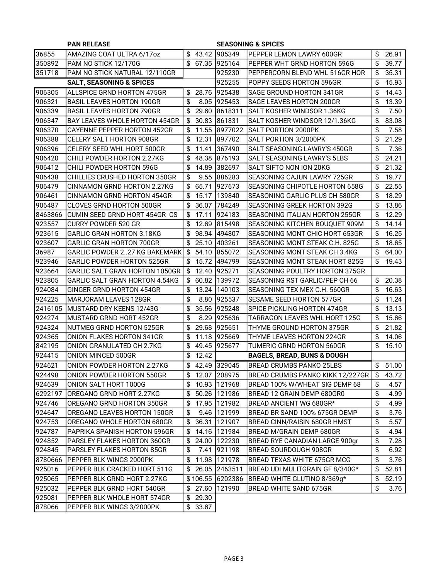|         | <b>PAN RELEASE</b>                   |             | <b>SEASONING &amp; SPICES</b> |                                        |    |         |  |  |
|---------|--------------------------------------|-------------|-------------------------------|----------------------------------------|----|---------|--|--|
| 36855   | AMAZING COAT ULTRA 6/17oz            |             | $$43.42$  905349              | PEPPER LEMON LAWRY 600GR               | \$ | 26.91   |  |  |
| 350892  | PAM NO STICK 12/170G                 |             | \$ 67.35 925164               | PEPPER WHT GRND HORTON 596G            | \$ | 39.77   |  |  |
| 351718  | PAM NO STICK NATURAL 12/110GR        |             | 925230                        | PEPPERCORN BLEND WHL 516GR HOR         | \$ | 35.31   |  |  |
|         | <b>SALT, SEASONING &amp; SPICES</b>  |             | 925255                        | POPPY SEEDS HORTON 596GR               | \$ | 15.93   |  |  |
| 906305  | ALLSPICE GRND HORTON 475GR           |             | \$ 28.76 925438               | SAGE GROUND HORTON 341GR               | \$ | 14.43   |  |  |
| 906321  | <b>BASIL LEAVES HORTON 190GR</b>     | \$          | 8.05 925453                   | SAGE LEAVES HORTON 200GR               | \$ | 13.39   |  |  |
| 906339  | <b>BASIL LEAVES HORTON 790GR</b>     | \$<br>29.60 | 8618311                       | SALT KOSHER WINDSOR 1.36KG             | \$ | 7.50    |  |  |
| 906347  | <b>BAY LEAVES WHOLE HORTON 454GR</b> | \$<br>30.83 | 861831                        | SALT KOSHER WINDSOR 12/1.36KG          | \$ | 83.08   |  |  |
| 906370  | <b>CAYENNE PEPPER HORTON 452GR</b>   | \$          | 11.55 8977022                 | <b>SALT PORTION 2000PK</b>             | \$ | 7.58    |  |  |
| 906388  | <b>CELERY SALT HORTON 908GR</b>      | \$<br>12.31 | 897702                        | SALT PORTION 3/2000PK                  | \$ | 21.29   |  |  |
| 906396  | CELERY SEED WHL HORT 500GR           | \$          | 11.41 367490                  | SALT SEASONING LAWRY'S 450GR           | \$ | 7.36    |  |  |
| 906420  | CHILI POWDER HORTON 2.27KG           | \$          | 48.38 876193                  | SALT SEASONING LAWRY'S 5LBS            | \$ | 24.21   |  |  |
| 906412  | CHILI POWDER HORTON 596G             | \$          | 14.89 382697                  | SALT SIFTO NON ION 20KG                | \$ | 21.32   |  |  |
| 906438  | <b>CHILLIES CRUSHED HORTON 350GR</b> | \$          | 9.55 886283                   | SEASONING CAJUN LAWRY 725GR            | \$ | 19.77   |  |  |
| 906479  | CINNAMON GRND HORTON 2.27KG          | \$<br>65.71 | 927673                        | SEASONING CHIPOTLE HORTON 658G         | \$ | 22.55   |  |  |
| 906461  | <b>CINNAMON GRND HORTON 454GR</b>    | \$          | 15.17   139840                | SEASONING GARLIC PLUS CH 580GR         | \$ | 18.29   |  |  |
| 906487  | <b>CLOVES GRND HORTON 500GR</b>      | \$<br>36.07 | 784249                        | SEASONING GREEK HORTON 392G            | \$ | 13.86   |  |  |
| 8463866 | CUMIN SEED GRND HORT 454GR CS        | \$<br>17.11 | 924183                        | SEASONING ITALIAN HORTON 255GR         | \$ | 12.29   |  |  |
| 923557  | CURRY POWDER 520 GR                  | \$          | 12.69 815498                  | SEASONING KITCHEN BOUQUET 909M         | \$ | 14.14   |  |  |
| 923615  | <b>GARLIC GRAN HORTON 3.18KG</b>     | \$          | 98.94 494807                  | SEASONING MONT CHIC HORT 653GR         | \$ | 16.25   |  |  |
| 923607  | <b>GARLIC GRAN HORTON 700GR</b>      | \$          | 25.10 403261                  | SEASONING MONT STEAK C.H. 825G         | \$ | 18.65   |  |  |
| 36987   | <b>GARLIC POWDER 227 KG BAKEMARK</b> | \$<br>54.10 | 855072                        | SEASONING MONT STEAK CH 3.4KG          | \$ | 64.00   |  |  |
| 923946  | <b>GARLIC POWDER HORTON 525GR</b>    | \$          | 15.72 494799                  | SEASONING MONT STEAK HORT 825G         | \$ | 19.43   |  |  |
| 923664  | GARLIC SALT GRAN HORTON 1050GR       | \$          | 12.40 925271                  | SEASONING POULTRY HORTON 375GR         |    |         |  |  |
| 923805  | GARLIC SALT GRAN HORTON 4.54KG       | \$          | 60.82 139972                  | SEASONING RST GARLIC/PEP CH 66         | \$ | 20.38   |  |  |
| 924084  | GINGER GRND HORTON 454GR             | \$          | 13.24 140103                  | SEASONING TEX MEX C.H. 560GR           | \$ | 16.63   |  |  |
| 924225  | MARJORAM LEAVES 128GR                | \$<br>8.80  | 925537                        | SESAME SEED HORTON 577GR               | \$ | 11.24   |  |  |
| 2416105 | MUSTARD DRY KEENS 12/43G             | \$<br>35.56 | 925248                        | SPICE PICKLING HORTON 474GR            | \$ | 13.13   |  |  |
| 924274  | MUSTARD GRND HORT 452GR              | \$<br>8.29  | 1925636                       | <b>TARRAGON LEAVES WHL HORT 125G</b>   | \$ | 15.66   |  |  |
| 924324  | NUTMEG GRND HORTON 525GR             | \$          | 29.68 925651                  | THYME GROUND HORTON 375GR              | \$ | 21.82   |  |  |
| 924365  | ONION FLAKES HORTON 341GR            | \$          | 11.18 925669                  | THYME LEAVES HORTON 224GR              | \$ | 14.06   |  |  |
| 842195  | ONION GRANULATED CH 2.7KG            | \$          | 49.45 925677                  | TUMERIC GRND HORTON 560GR              | \$ | 15.10   |  |  |
| 924415  | ONION MINCED 500GR                   | \$<br>12.42 |                               | <b>BAGELS, BREAD, BUNS &amp; DOUGH</b> |    |         |  |  |
| 924621  | ONION POWDER HORTON 2.27KG           | \$          | 42.49 329045                  | <b>BREAD CRUMBS PANKO 25LBS</b>        |    | \$51.00 |  |  |
| 924498  | ONION POWDER HORTON 550GR            | \$          | 12.07 208975                  | BREAD CRUMBS PANKO KIKK 12/227GR       | \$ | 43.72   |  |  |
| 924639  | ONION SALT HORT 1000G                | \$          | 10.93   121968                | BREAD 100% W/WHEAT SIG DEMP 68         | \$ | 4.57    |  |  |
| 6292197 | OREGANO GRND HORT 2.27KG             | \$          | 50.26 121986                  | BREAD 12 GRAIN DEMP 680GR0             | \$ | 4.99    |  |  |
| 924746  | OREGANO GRND HORTON 350GR            | \$          | 17.95 121982                  | BREAD ANCIENT WG 680GR*                | \$ | 4.99    |  |  |
| 924647  | OREGANO LEAVES HORTON 150GR          | \$          | 9.46   121999                 | BREAD BR SAND 100% 675GR DEMP          | \$ | 3.76    |  |  |
| 924753  | OREGANO WHOLE HORTON 680GR           | \$          | 36.31 121907                  | BREAD CINN/RAISIN 680GR HMST           | \$ | 5.57    |  |  |
| 924787  | PAPRIKA SPANISH HORTON 596GR         | \$          | 14.16 121984                  | BREAD M/GRAIN DEMP 680GR               | \$ | 4.94    |  |  |
| 924852  | PARSLEY FLAKES HORTON 360GR          | \$          | 24.00 122230                  | BREAD RYE CANADIAN LARGE 900gr         | \$ | 7.28    |  |  |
| 924845  | PARSLEY FLAKES HORTON 85GR           | \$          | 7.41 921198                   | BREAD SOURDOUGH 908GR                  | \$ | 6.92    |  |  |
| 8780666 | PEPPER BLK WINGS 2000PK              | \$          | 11.98 121978                  | BREAD TEXAS WHITE 675GR MCG            | \$ | 3.76    |  |  |
| 925016  | PEPPER BLK CRACKED HORT 511G         | \$          | 26.05 2463511                 | BREAD UDI MULITGRAIN GF 8/340G*        | \$ | 52.81   |  |  |
| 925065  | PEPPER BLK GRND HORT 2.27KG          |             | \$106.55 6202386              | BREAD WHITE GLUTINO 8/369g*            | \$ | 52.19   |  |  |
| 925032  | PEPPER BLK GRND HORT 540GR           |             | \$ 27.60 121990               | BREAD WHITE SAND 675GR                 | \$ | 3.76    |  |  |
| 925081  | PEPPER BLK WHOLE HORT 574GR          | \$29.30     |                               |                                        |    |         |  |  |
| 878066  | PEPPER BLK WINGS 3/2000PK            | \$33.67     |                               |                                        |    |         |  |  |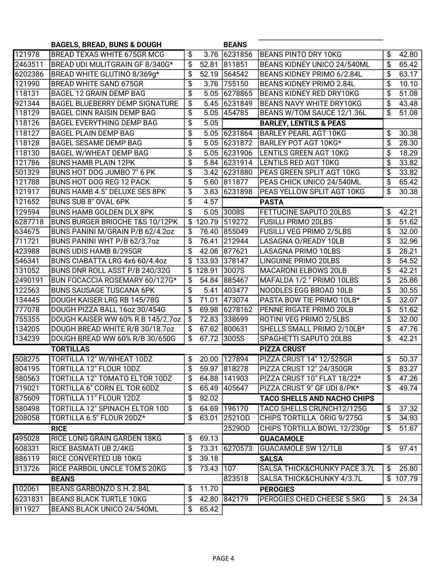|         | <b>BAGELS, BREAD, BUNS &amp; DOUGH</b> |        |           | <b>BEANS</b>   |                                         |                           |          |
|---------|----------------------------------------|--------|-----------|----------------|-----------------------------------------|---------------------------|----------|
| 121978  | <b>BREAD TEXAS WHITE 675GR MCG</b>     | \$     |           | 3.76 6231856   | BEANS PINTO DRY 10KG                    | \$                        | 42.80    |
| 2463511 | BREAD UDI MULITGRAIN GF 8/340G*        | \$     |           | 52.81 811851   | BEANS KIDNEY UNICO 24/540ML             | \$                        | 65.42    |
| 6202386 | BREAD WHITE GLUTINO 8/369g*            | \$     |           | 52.19 564542   | BEANS KIDNEY PRIMO 6/2.84L              | \$                        | 63.17    |
| 121990  | <b>BREAD WHITE SAND 675GR</b>          | \$     |           | 3.76 755150    | <b>BEANS KIDNEY PRIMO 2.84L</b>         | \$                        | 10.10    |
| 118131  | BAGEL 12 GRAIN DEMP BAG                | \$     |           | 5.05 6278865   | <b>BEANS KIDNEY RED DRY10KG</b>         | \$                        | 51.08    |
| 921344  | BAGEL BLUEBERRY DEMP SIGNATURE         | \$     |           | 5.45 6231849   | BEANS NAVY WHITE DRY10KG                | \$                        | 43.48    |
| 118129  | <b>BAGEL CINN RAISIN DEMP BAG</b>      | \$     |           | 5.05 454785    | BEANS W/TOM SAUCE 12/1.36L              | \$                        | 51.08    |
| 118126  | <b>BAGEL EVERYTHING DEMP BAG</b>       | \$     | 5.05      |                | <b>BARLEY, LENTILS &amp; PEAS</b>       |                           |          |
| 118127  | <b>BAGEL PLAIN DEMP BAG</b>            | \$     |           | 5.05 6231864   | <b>BARLEY PEARL AGT 10KG</b>            | \$                        | 30.38    |
| 118128  | <b>BAGEL SESAME DEMP BAG</b>           | \$     |           | 5.05 6231872   | BARLEY POT AGT 10KG*                    | \$                        | 28.30    |
| 118130  | BAGEL W/WHEAT DEMP BAG                 | \$     |           | 5.05 6231906   | LENTILS GREEN AGT 10KG                  | \$                        | 18.29    |
| 121786  | <b>BUNS HAMB PLAIN 12PK</b>            | \$     |           | 5.84 6231914   | <b>LENTILS RED AGT 10KG</b>             | \$                        | 33.82    |
| 501329  | BUNS HOT DOG JUMBO 7" 6 PK             | \$     |           | 3.42 6231880   | PEAS GREEN SPLIT AGT 10KG               | \$                        | 33.82    |
| 121788  | BUNS HOT DOG REG 12 PACK               | \$     |           | 5.60 811877    | PEAS CHICK UNICO 24/540ML               | \$                        | 65.42    |
| 121917  | BUNS HAMB 4.5" DELUXE SES 8PK          | \$     |           | 3.63 6231898   | PEAS YELLOW SPLIT AGT 10KG              | \$                        | 30.38    |
| 121652  | BUNS SUB 8" OVAL 6PK                   | \$     | 4.57      |                | <b>PASTA</b>                            |                           |          |
| 129594  | <b>BUNS HAMB GOLDEN DLX 8PK</b>        | \$     |           | 5.05 3008S     | FETTUCINE SAPUTO 20LBS                  | \$                        | 42.21    |
| 6287718 | BUNS BURGER BRIOCHE T&S 10/12PK        | \$     |           | 120.79 519272  | <b>FUSILLI PRIMO 20LBS</b>              | \$                        | 51.62    |
| 634675  | BUNS PANINI M/GRAIN P/B 62/4.20Z       | \$     |           | 76.40 855049   | <b>FUSILLI VEG PRIMO 2/5LBS</b>         | \$                        | 32.00    |
| 711721  | BUNS PANINI WHT P/B 62/3.7oz           | \$     | 76.41     | 212944         | LASAGNA O/READY 10LB                    | \$                        | 32.96    |
| 423988  | BUNS UDIS HAMB 8/295GR                 | \$     |           | 42.06 877621   | LASAGNA PRIMO 10LBS                     | \$                        | 28.21    |
| 546341  | BUNS CIABATTA LRG 4x6 60/4.4oz         | \$     |           | 133.93 378147  | <b>LINGUINE PRIMO 20LBS</b>             | \$                        | 54.52    |
| 131052  | BUNS DNR ROLL ASST P/B 240/32G         | \$     | 128.91    | 3007S          | <b>MACARONI ELBOWS 20LB</b>             | \$                        | 42.21    |
| 2490191 | BUN FOCACCIA ROSEMARY 60/127G*         | \$     |           | 54.84 885467   | MAFALDA 1/2 " PRIMO 10LBS               | \$                        | 25.86    |
| 122563  | <b>BUNS SAUSAGE TUSCANA 6PK</b>        | \$     | 5.41      | 403477         | NOODLES EGG BROAD 10LB                  | \$                        | 30.55    |
| 134445  | DOUGH KAISER LRG RB 145/78G            | \$     | 71.01     | 473074         | PASTA BOW TIE PRIMO 10LB*               | \$                        | 32.07    |
| 777078  | DOUGH PIZZA BALL 16oz 30/454G          | \$     |           | 69.98 6278162  | PENNE RIGATE PRIMO 20LB                 | \$                        | 51.62    |
| 755355  | DOUGH KAISER WW 60% R.B 145/2.7oz      | \$     |           | 72.83 338699   | ROTINI VEG PRIMO 2/5LBS                 | \$                        | 32.00    |
| 134205  | DOUGH BREAD WHITE R/B 30/18.7oz        | \$     |           | 67.62 800631   | SHELLS SMALL PRIMO 2/10LB*              | \$                        | 47.76    |
| 134239  | DOUGH BREAD WW 60% R/B 30/650G         | \$     | 67.72     | 3005S          | SPAGHETTI SAPUTO 20LBS                  | \$                        | 42.21    |
|         | <b>TORTILLAS</b>                       |        |           |                | <b>PIZZA CRUST</b>                      |                           |          |
| 508275  | <b>TORTILLA 12" W/WHEAT 10DZ</b>       | \$     |           | 20.00 127894   | PIZZA CRUST 14" 12/525GR                | \$                        | 50.37    |
| 804195  | TORTILLA 12" FLOUR 10DZ                | ሖ<br>Φ |           | 59.97 818278   | PIZZA CRUST 12" 24/350GR                | $\overline{\$}$           | 83.27    |
| 580563  | TORTILLA 12" TOMATO ELTOR 10DZ         | \$     |           | 64.88   141903 | PIZZA CRUST 10" FLAT 18/22*             | \$                        | 47.26    |
| 719021  | TORTILLA 6" CORN EL TOR 60DZ           | \$     |           | 65.49 405647   | PIZZA CRUST 9" GF UDI 8/PK*             | $\boldsymbol{\mathsf{s}}$ | 49.74    |
| 875609  | TORTILLA 11" FLOUR 12DZ                | \$     | 92.02     |                | <b>TACO SHELLS AND NACHO CHIPS</b>      |                           |          |
| 580498  | TORTILLA 12" SPINACH ELTOR 10D         | \$     |           | 64.69 196170   | TACO SHELLS CRUNCH12/125G               | \$                        | 37.32    |
| 208058  | TORTILLA 6.5" FLOUR 20DZ*              | \$     |           | 63.01 25210D   | CHIPS TORTILLA ORIG 9/275G              | \$                        | 34.93    |
|         | <b>RICE</b>                            |        |           | 25290D         | CHIPS TORTILLA BOWL 12/230gr            | \$                        | 51.67    |
| 495028  | <b>RICE LONG GRAIN GARDEN 18KG</b>     | \$     | 69.13     |                | <b>GUACAMOLE</b>                        |                           |          |
| 608331  | RICE BASMATI UB 2/4KG                  | \$     |           | 73.31 6270573  | <b>GUACAMOLE SW 12/1LB</b>              | \$                        | 97.41    |
| 886119  | <b>RICE CONVERTED UB 10KG</b>          | \$     | 39.18     |                | <b>SALSA</b>                            |                           |          |
| 313726  | RICE PARBOIL UNCLE TOM'S 20KG          | \$     | 73.43 107 |                | <b>SALSA THICK&amp;CHUNKY PACE 3.7L</b> | \$                        | 25.80    |
|         | <b>BEANS</b>                           |        |           | 823518         | SALSA THICK&CHUNKY 4/3.7L               |                           | \$107.79 |
| 102061  | BEANS GARBONZO S.H. 2.84L              | \$     | 11.70     |                | <b>PEROGIES</b>                         |                           |          |
| 6231831 | <b>BEANS BLACK TURTLE 10KG</b>         | \$     |           | 42.80 842179   | PEROGIES CHED CHEESE 5.5KG              | \$                        | 24.34    |
| 811927  | BEANS BLACK UNICO 24/540ML             | \$     | 65.42     |                |                                         |                           |          |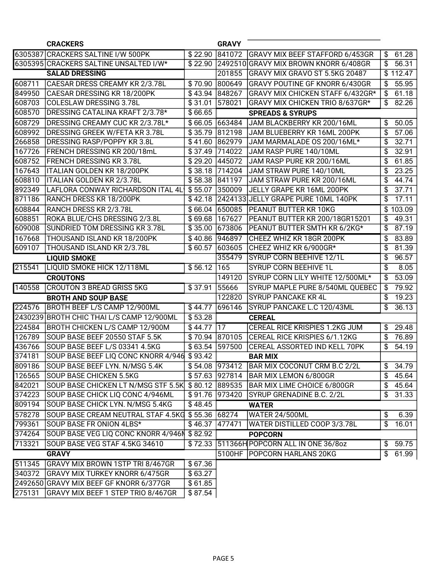|        | <b>CRACKERS</b>                                     |                            | <b>GRAVY</b>   |                                             |                |          |
|--------|-----------------------------------------------------|----------------------------|----------------|---------------------------------------------|----------------|----------|
|        | 6305387 CRACKERS SALTINE I/W 500PK                  | \$22.90                    | 841072         | GRAVY MIX BEEF STAFFORD 6/453GR             | \$             | 61.28    |
|        | 6305395 CRACKERS SALTINE UNSALTED I/W*              | \$22.90                    |                | 2492510 GRAVY MIX BROWN KNORR 6/408GR       | $\mathfrak{S}$ | 56.31    |
|        | <b>SALAD DRESSING</b>                               |                            | 201855         | GRAVY MIX GRAVO ST 5.5KG 20487              |                | \$112.47 |
| 608711 | CAESAR DRESS CREAMY KR 2/3.78L                      | \$70.90                    | 800649         | <b>GRAVY POUTINE GF KNORR 6/430GR</b>       | \$             | 55.95    |
| 849950 | CAESAR DRESSING KR 18/200PK                         | $\overline{$}43.94$ 848267 |                | GRAVY MIX CHICKEN STAFF 6/432GR*            | \$             | 61.18    |
| 608703 | COLESLAW DRESSING 3.78L                             | \$31.01                    | 578021         | GRAVY MIX CHICKEN TRIO 8/637GR*             | \$             | 82.26    |
| 608570 | DRESSING CATALINA KRAFT 2/3.78*                     | \$66.65                    |                | <b>SPREADS &amp; SYRUPS</b>                 |                |          |
| 608729 | DRESSING CREAMY CUC KR 2/3.78L*                     | \$66.05 663484             |                | JAM BLACKBERRY KR 200/16ML                  | \$             | 50.05    |
| 608992 | DRESSING GREEK W/FETA KR 3.78L                      | \$35.79                    | 812198         | JAM BLUEBERRY KR 16ML 200PK                 | \$             | 57.06    |
| 266858 | DRESSING RASP/POPPY KR 3.8L                         | \$41.60 862979             |                | JAM MARMALADE OS 200/16ML*                  | \$             | 32.71    |
| 167726 | FRENCH DRESSING KR 200/18mL                         | \$37.49 714022             |                | JAM RASP PURE 140/10ML                      | \$             | 32.91    |
| 608752 | <b>FRENCH DRESSING KR 3.78L</b>                     | \$29.20 445072             |                | JAM RASP PURE KR 200/16ML                   | \$             | 61.85    |
| 167643 | ITALIAN GOLDEN KR 18/200PK                          |                            | \$38.18 714204 | JAM STRAW PURE 140/10ML                     | \$             | 23.25    |
| 608810 | ITALIAN GOLDEN KR 2/3.78L                           | \$58.38 841197             |                | JAM STRAW PURE KR 200/16ML                  | \$             | 44.74    |
| 892349 | LAFLORA CONWAY RICHARDSON ITAL 4L1                  | \$55.07                    | 350009         | JELLY GRAPE KR 16ML 200PK                   | \$             | 37.71    |
| 871186 | <b>RANCH DRESS KR 18/200PK</b>                      |                            |                | \$42.18 2424133 JELLY GRAPE PURE 10ML 140PK | \$             | 17.11    |
| 608844 | RANCH DRESS KR 2/3.78L                              |                            | \$66.04 650085 | <b>PEANUT BUTTER KR 10KG</b>                |                | \$103.09 |
| 608851 | ROKA BLUE/CHS DRESSING 2/3.8L                       | \$69.68 167627             |                | PEANUT BUTTER KR 200/18GR15201              | \$             | 49.31    |
| 609008 | SUNDRIED TOM DRESSING KR 3.78L                      | \$35.00 673806             |                | PEANUT BUTTER SMTH KR 6/2KG*                | \$             | 87.19    |
| 167668 | THOUSAND ISLAND KR 18/200PK                         | \$40.86 946897             |                | CHEEZ WHIZ KR 18GR 200PK                    | \$             | 83.89    |
| 609107 | THOUSAND ISLAND KR 2/3.78L                          | \$60.57                    | 603605         | CHEEZ WHIZ KR 6/900GR*                      | \$             | 81.39    |
|        | <b>LIQUID SMOKE</b>                                 |                            | 355479         | SYRUP CORN BEEHIVE 12/1L                    | \$             | 96.57    |
| 215541 | <b>LIQUID SMOKE HICK 12/118ML</b>                   | $$56.12$ 165               |                | <b>SYRUP CORN BEEHIVE 1L</b>                | \$             | 8.05     |
|        | <b>CROUTONS</b>                                     |                            | 149120         | SYRUP CORN LILY WHITE 12/500ML*             | \$             | 53.09    |
| 140558 | <b>CROUTON 3 BREAD GRISS 5KG</b>                    | $\sqrt{$}37.91$            | 55666          | SYRUP MAPLE PURE 8/540ML QUEBEC             | \$             | 79.92    |
|        | <b>BROTH AND SOUP BASE</b>                          |                            | 122820         | <b>SYRUP PANCAKE KR 4L</b>                  | \$             | 19.23    |
| 224576 | BROTH BEEF L/S CAMP 12/900ML                        | \$44.77                    | 696146         | SYRUP PANCAKE L.C 120/43ML                  | \$             | 36.13    |
|        | 2430239 BROTH CHIC THAI L/S CAMP 12/900ML           | \$53.28                    |                | <b>CEREAL</b>                               |                |          |
| 224584 | BROTH CHICKEN L/S CAMP 12/900M                      | $$44.77$  17               |                | CEREAL RICE KRISPIES 1.2KG JUM              | \$             | 29.48    |
| 126789 | SOUP BASE BEEF 20550 STAF 5.5K                      |                            | \$70.94 870105 | CEREAL RICE KRISPIES 6/1.12KG               | \$             | 76.89    |
| 436766 | SOUP BASE BEEF L/S 03341 4.5KG                      | \$63.54                    | 597500         | CEREAL ASSORTED IND KELL 70PK               | \$             | 54.19    |
| 374181 | SOUP BASE BEEF LIQ CONC KNORR 4/946                 | $\sqrt{$}93.42$            |                | <b>BAR MIX</b>                              |                |          |
| 809186 | SOUP BASE BEEF LYN. N/MSG 5.4K                      | \$54.08 973412             |                | BAR MIX COCONUT CRM B.C 2/2L                |                | \$34.79  |
|        | 126565 SOUP BASE CHICKEN 5.5KG                      |                            |                | \$57.63 927814 BAR MIX LEMON 6/800GR        |                | \$45.64  |
| 842021 | SOUP BASE CHICKEN LT N/MSG STF 5.5K \$ 80.12 889535 |                            |                | <b>BAR MIX LIME CHOICE 6/800GR</b>          |                | \$45.64  |
| 374223 | SOUP BASE CHICK LIQ CONC 4/946ML                    | \$91.76 973420             |                | SYRUP GRENADINE B.C. 2/2L                   |                | \$31.33  |
| 809194 | SOUP BASE CHICK LYN. N/MSG 5.4KG                    | \$48.45                    |                | <b>WATER</b>                                |                |          |
| 578278 | SOUP BASE CREAM NEUTRAL STAF 4.5KG \$55.36 68274    |                            |                | WATER 24/500ML                              | \$             | 6.39     |
| 799361 | SOUP BASE FR ONION 4LBS*                            | \$46.37                    | 477471         | WATER DISTILLED COOP 3/3.78L                | $\mathfrak{L}$ | 16.01    |
| 374264 | SOUP BASE VEG LIQ CONC KNORR 4/946N \$82.92         |                            |                | <b>POPCORN</b>                              |                |          |
| 713321 | SOUP BASE VEG STAF 4.5KG 34610                      |                            |                | \$72.33 511366H POPCORN ALL IN ONE 36/80Z   |                | \$59.75  |
|        | <b>GRAVY</b>                                        |                            |                | 5100HF POPCORN HARLANS 20KG                 | $\mathfrak{S}$ | 61.99    |
| 511345 | <b>GRAVY MIX BROWN 1STP TRI 8/467GR</b>             | \$67.36                    |                |                                             |                |          |
| 340372 | <b>GRAVY MIX TURKEY KNORR 6/475GR</b>               | \$63.27                    |                |                                             |                |          |
|        | 2492650 GRAVY MIX BEEF GF KNORR 6/377GR             | \$61.85                    |                |                                             |                |          |
| 275131 | GRAVY MIX BEEF 1 STEP TRIO 8/467GR                  | \$87.54                    |                |                                             |                |          |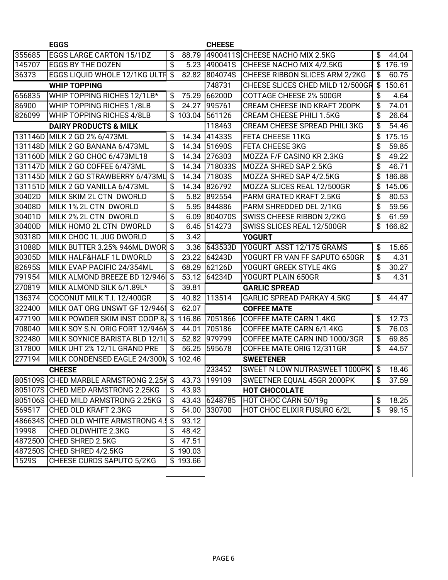|        | <b>EGGS</b>                            |               |          | <b>CHEESE</b> |                                        |                 |        |
|--------|----------------------------------------|---------------|----------|---------------|----------------------------------------|-----------------|--------|
| 355685 | <b>EGGS LARGE CARTON 15/1DZ</b>        | \$            | 88.79    |               | 4900411SCHEESE NACHO MIX 2.5KG         | \$              | 44.04  |
| 145707 | <b>EGGS BY THE DOZEN</b>               | \$            | 5.23     | 490041S       | CHEESE NACHO MIX 4/2.5KG               | \$              | 176.19 |
| 36373  | <b>EGGS LIQUID WHOLE 12/1KG ULTH</b>   | \$            | 82.82    | 804074S       | CHEESE RIBBON SLICES ARM 2/2KG         | \$              | 60.75  |
|        | <b>WHIP TOPPING</b>                    |               |          | 748731        | CHEESE SLICES CHED MILD 12/500GR       | \$              | 150.61 |
| 656835 | WHIP TOPPING RICHES 12/1LB*            | \$            | 75.29    | 66200D        | <b>COTTAGE CHEESE 2% 500GR</b>         | \$              | 4.64   |
| 86900  | WHIP TOPPING RICHES 1/8LB              | \$            | 24.27    | 995761        | CREAM CHEESE IND KRAFT 200PK           | \$              | 74.01  |
| 826099 | WHIP TOPPING RICHES 4/8LB              | \$            | 103.04   | 561126        | <b>CREAM CHEESE PHILI 1.5KG</b>        | \$              | 26.64  |
|        | <b>DAIRY PRODUCTS &amp; MILK</b>       |               |          | 118463        | <b>CREAM CHEESE SPREAD PHILI 3KG</b>   | \$              | 54.46  |
|        | 131146D MILK 2 GO 2% 6/473ML           | \$            | 14.34    | 41433S        | <b>FETA CHEESE 11KG</b>                | \$              | 175.15 |
|        | 131148D MILK 2 GO BANANA 6/473ML       | \$            | 14.34    | 51690S        | <b>FETA CHEESE 3KG</b>                 | \$              | 59.85  |
|        | 131160D MILK 2 GO CHOC 6/473ML18       | \$            | 14.34    | 276303        | MOZZA F/F CASINO KR 2.3KG              | \$              | 49.22  |
|        | 131147D MILK 2 GO COFFEE 6/473ML       | \$            | 14.34    | 718033S       | MOZZA SHRED SAP 2.5KG                  | \$              | 46.71  |
|        | 131145D MILK 2 GO STRAWBERRY 6/473ML   | \$            | 14.34    | <b>71803S</b> | MOZZA SHRED SAP 4/2.5KG                | \$              | 186.88 |
|        | 131151D MILK 2 GO VANILLA 6/473ML      | \$            | 14.34    | 826792        | MOZZA SLICES REAL 12/500GR             | \$              | 145.06 |
| 30402D | MILK SKIM 2L CTN DWORLD                | \$            | 5.82     | 892554        | PARM GRATED KRAFT 2.5KG                | \$              | 80.53  |
| 30408D | MILK 1% 2L CTN DWORLD                  | \$            | 5.95     | 844886        | PARM SHREDDED DEL 2/1KG                | \$              | 59.56  |
| 30401D | MILK 2% 2L CTN DWORLD                  | \$            | 6.09     | 804070S       | <b>SWISS CHEESE RIBBON 2/2KG</b>       | \$              | 61.59  |
| 30400D | MILK HOMO 2L CTN DWORLD                | \$            | 6.45     | 514273        | SWISS SLICES REAL 12/500GR             | \$              | 166.82 |
| 30318D | MILK CHOC 1L JUG DWORLD                | \$            | 3.42     |               | <b>YOGURT</b>                          |                 |        |
| 31088D | MILK BUTTER 3.25% 946ML DWOR           | \$            | 3.36     | 643533D       | YOGURT ASST 12/175 GRAMS               | \$              | 15.65  |
| 30305D | MILK HALF&HALF 1L DWORLD               | \$            | 23.22    | 64243D        | YOGURT FR VAN FF SAPUTO 650GR          | \$              | 4.31   |
| 82695S | MILK EVAP PACIFIC 24/354ML             | \$            | 68.29    | 62126D        | YOGURT GREEK STYLE 4KG                 | \$              | 30.27  |
| 791954 | MILK ALMOND BREEZE BD 12/946           | $\frac{1}{2}$ | 53.12    | 64234D        | YOGURT PLAIN 650GR                     | $\overline{\$}$ | 4.31   |
| 270819 | MILK ALMOND SILK 6/1.89L*              | \$            | 39.81    |               | <b>GARLIC SPREAD</b>                   |                 |        |
| 136374 | COCONUT MILK T.I. 12/400GR             | \$            | 40.82    | 113514        | <b>GARLIC SPREAD PARKAY 4.5KG</b>      | \$              | 44.47  |
| 322400 | MILK OAT ORG UNSWT GF 12/946           | -\$           | 62.07    |               | <b>COFFEE MATE</b>                     |                 |        |
| 477190 | MILK POWDER SKIM INST COOP 8           | -\$           | 116.86   | 7051866       | <b>COFFEE MATE CARN 1.4KG</b>          | \$              | 12.73  |
| 708040 | MILK SOY S.N. ORIG FORT 12/946N \$     |               | 44.01    | 705186        | COFFEE MATE CARN 6/1.4KG               | \$              | 76.03  |
| 322480 | MILK SOYNICE BARISTA BLD 12/11 \$      |               | 52.82    | 979799        | COFFEE MATE CARN IND 1000/3GR          | \$              | 69.85  |
| 317800 | MILK UHT 2% 12/1L GRAND PRE            | \$            | 56.25    | 595678        | COFFEE MATE ORIG 12/311GR              | \$              | 44.57  |
| 277194 | MILK CONDENSED EAGLE 24/300N           | \$            | 102.46   |               | <b>SWEETENER</b>                       |                 |        |
|        | <b>CHEESE</b>                          |               |          | 233452        | SWEET N LOW NUTRASWEET 1000PK \$ 18.46 |                 |        |
|        | 805109S CHED MARBLE ARMSTRONG 2.25H \$ |               | 43.73    | 199109        | SWEETNER EQUAL 45GR 2000PK             | \$              | 37.59  |
|        | 805107S CHED MED ARMSTRONG 2.25KG      | \$            | 43.93    |               | HOT CHOCOLATE                          |                 |        |
|        | 805106S CHED MILD ARMSTRONG 2.25KG     | \$            |          | 43.43 6248785 | HOT CHOC CARN 50/19g                   | \$              | 18.25  |
| 569517 | <b>CHED OLD KRAFT 2.3KG</b>            | \$            | 54.00    | 330700        | HOT CHOC ELIXIR FUSURO 6/2L            | \$              | 99.15  |
|        | 486634S CHED OLD WHITE ARMSTRONG 4.    | \$            | 93.12    |               |                                        |                 |        |
| 19998  | <b>CHED OLDWHITE 2.3KG</b>             | \$            | 48.42    |               |                                        |                 |        |
|        | 4872500 CHED SHRED 2.5KG               | \$            | 47.51    |               |                                        |                 |        |
|        | 487250S CHED SHRED 4/2.5KG             |               | \$190.03 |               |                                        |                 |        |
| 1529S  | CHEESE CURDS SAPUTO 5/2KG              | \$            | 193.66   |               |                                        |                 |        |
|        |                                        |               |          |               |                                        |                 |        |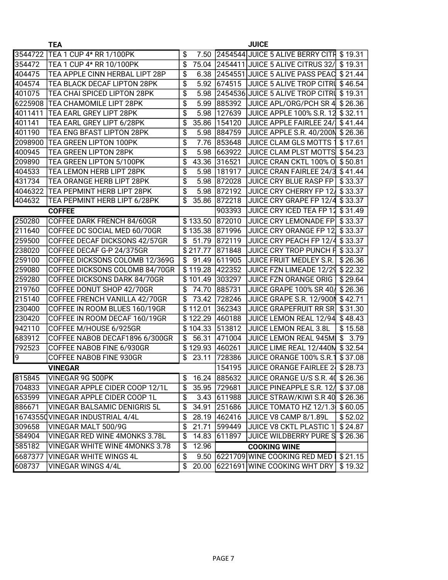|                | <b>TEA</b>                            |             |                 | <b>JUICE</b>                                   |         |
|----------------|---------------------------------------|-------------|-----------------|------------------------------------------------|---------|
| 3544722        | TEA 1 CUP 4* RR 1/100PK               | \$          |                 | 7.50 2454544 JUICE 5 ALIVE BERRY CITH \$19.31  |         |
| 354472         | TEA 1 CUP 4* RR 10/100PK              | \$          |                 | 75.04 2454411 JUICE 5 ALIVE CITRUS 32/         | \$19.31 |
| 404475         | TEA APPLE CINN HERBAL LIPT 28P        | \$<br>6.38  |                 | 2454551 JUICE 5 ALIVE PASS PEAC                | \$21.44 |
| 404574         | TEA BLACK DECAF LIPTON 28PK           | \$<br>5.92  | 674515          | JUICE 5 ALIVE TROP CITRI \$ 46.54              |         |
| 401075         | TEA CHAI SPICED LIPTON 28PK           | \$<br>5.98  |                 | 2454536 JUICE 5 ALIVE TROP CITRU \$19.31       |         |
| 6225908        | ITEA CHAMOMILE LIPT 28PK              | \$<br>5.99  | 885392          | <b>JUICE APL/ORG/PCH SR 4</b>                  | \$26.36 |
| 4011411        | TEA EARL GREY LIPT 28PK               | \$<br>5.98  | 127639          | JUICE APPLE 100% S.R. 12                       | \$32.11 |
| 401141         | TEA EARL GREY LIPT 6/28PK             | \$<br>35.86 | 154120          | JUICE APPLE FAIRLEE 24/                        | \$41.44 |
| 401190         | TEA ENG BFAST LIPTON 28PK             | \$<br>5.98  | 884759          | JUICE APPLE S.R. 40/200N \$26.36               |         |
| 2098900        | <b>TEA GREEN LIPTON 100PK</b>         | \$<br>7.76  | 853648          | JUICE CLAM GLS MOTTS 1                         | \$17.61 |
| 400945         | TEA GREEN LIPTON 28PK                 | \$<br>5.98  | 663922          | JUICE CLAM PLST MOTTS \$54.23                  |         |
| 209890         | TEA GREEN LIPTON 5/100PK              | \$<br>43.36 | 316521          | <b>JUICE CRAN CKTL 100% O \$50.81</b>          |         |
| 404533         | TEA LEMON HERB LIPT 28PK              | \$<br>5.98  | 181917          | JUICE CRAN FAIRLEE 24/3 \$41.44                |         |
| 431734         | TEA ORANGE HERB LIPT 28PK             | \$<br>5.98  | 872028          | JUICE CRY BLUE RASP FP                         | \$33.37 |
| 4046322        | TEA PEPMINT HERB LIPT 28PK            | \$<br>5.98  | 872192          | JUICE CRY CHERRY FP 12                         | \$33.37 |
| 404632         | TEA PEPMINT HERB LIPT 6/28PK          | \$<br>35.86 | 872218          | JUICE CRY GRAPE FP 12/4                        | \$33.37 |
|                | <b>COFFEE</b>                         |             | 903393          | JUICE CRY ICED TEA FP 12                       | \$31.49 |
| 250280         | COFFEE DARK FRENCH 84/60GR            | \$133.50    | 872010          | <b>JUICE CRY LEMONADE FP</b>                   | \$33.37 |
| 211640         | COFFEE DC SOCIAL MED 60/70GR          |             | \$135.38 871996 | JUICE CRY ORANGE FP 12                         | \$33.37 |
| 259500         | COFFEE DECAF DICKSONS 42/57GR         | \$<br>51.79 | 872119          | JUICE CRY PEACH FP 12/4                        | \$33.37 |
| 238020         | COFFEE DECAF G-P 24/375GR             | \$217.77    | 871848          | JUICE CRY TROP PUNCH F \$33.37                 |         |
| 259100         | COFFEE DICKSONS COLOMB 12/369G        | \$<br>91.49 | 611905          | JUICE FRUIT MEDLEY S.R.                        | \$26.36 |
| 259080         | COFFEE DICKSONS COLOMB 84/70GR        | \$119.28    | 422352          | JUICE FZN LIMEADE 12/29                        | \$22.32 |
| 259280         | COFFEE DICKSONS DARK 84/70GR          | \$101.49    | 303297          | JUICE FZN ORANGE ORIG                          | \$29.64 |
| 219760         | COFFEE DONUT SHOP 42/70GR             | \$<br>74.70 | 885731          | JUICE GRAPE 100% SR 40/                        | \$26.36 |
| 215140         | COFFEE FRENCH VANILLA 42/70GR         | \$<br>73.42 | 728246          | JUICE GRAPE S.R. 12/900N                       | \$42.71 |
| 230400         | COFFEE IN ROOM BLUES 160/19GR         | \$112.01    | 362343          | <b>JUICE GRAPEFRUIT RR SR</b>                  | \$31.30 |
| 230420         | COFFEE IN ROOM DECAF 160/19GR         | \$122.29    | 460188          | JUICE LEMON REAL 12/94                         | \$48.43 |
| 942110         | COFFEE M/HOUSE 6/925GR                | \$104.33    | 513812          | JUICE LEMON REAL 3.8L                          | \$15.58 |
| 683912         | COFFEE NABOB DECAF1896 6/300GR        | \$<br>56.31 | 471004          | JUICE LEMON REAL 945M                          | \$3.79  |
| 792523         | COFFEE NABOB FINE 6/930GR             | \$129.93    | 460261          | JUICE LIME REAL 12/440M \$32.54                |         |
| $\overline{9}$ | COFFEE NABOB FINE 930GR               | \$<br>23.11 | 728386          | JUICE ORANGE 100% S.R.1                        | \$37.08 |
|                | <b>VINEGAR</b>                        |             | 154195          | JUICE ORANGE FAIRLEE 2 \$ 28.73                |         |
| 815845         | VINEGAR 9G 500PK                      | \$          |                 | 16.24 885632 JUICE ORANGE U/S S.R. 40 \$ 26.36 |         |
| 704833         | <b>VINEGAR APPLE CIDER COOP 12/1L</b> | \$          | 35.95 729681    | JUICE PINEAPPLE S.R. 12/  \$ 37.08             |         |
| 653599         | VINEGAR APPLE CIDER COOP 1L           | \$          | 3.43 611988     | JUICE STRAW/KIWI S.R 40 \$26.36                |         |
| 886671         | <b>VINEGAR BALSAMIC DENIGRIS 5L</b>   | \$          | 34.91 251686    | JUICE TOMATO HZ 12/1.3 \$60.05                 |         |
|                | 16743550 VINEGAR INDUSTRIAL 4/4L      | \$          | 28.19 462416    | JUICE V8 CAMP 8/1.89L                          | \$52.02 |
| 309658         | VINEGAR MALT 500/9G                   | \$<br>21.71 | 599449          | <b>JUICE V8 CKTL PLASTIC 1</b>                 | \$24.87 |
| 584904         | <b>VINEGAR RED WINE 4MONKS 3.78L</b>  | \$<br>14.83 | 611897          | JUICE WILDBERRY PURE S                         | \$26.36 |
| 585182         | VINEGAR WHITE WINE 4MONKS 3.78        | \$<br>12.96 |                 | <b>COOKING WINE</b>                            |         |
| 6687377        | VINEGAR WHITE WINGS 4L                | \$          |                 | 9.50 6221709 WINE COOKING RED MED   \$21.15    |         |
|                |                                       |             |                 |                                                |         |
| 608737         | <b>VINEGAR WINGS 4/4L</b>             | \$20.00     |                 | 6221691 WINE COOKING WHT DRY                   | \$19.32 |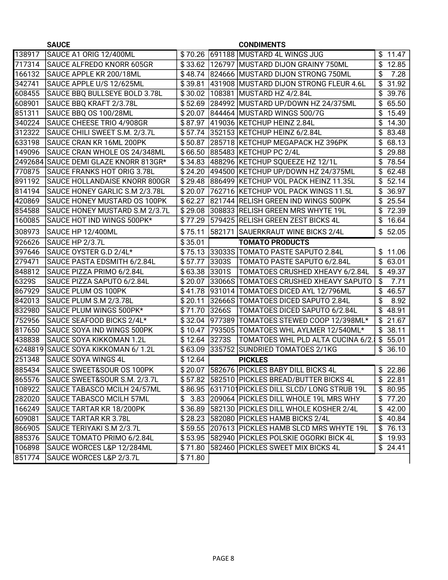|        | <b>SAUCE</b>                          |         |        | <b>CONDIMENTS</b>                                 |                |         |
|--------|---------------------------------------|---------|--------|---------------------------------------------------|----------------|---------|
| 138917 | SAUCE A1 ORIG 12/400ML                |         |        | \$70.26 691188 MUSTARD 4L WINGS JUG               |                | \$11.47 |
| 717314 | SAUCE ALFREDO KNORR 605GR             | \$33.62 |        | 126797 MUSTARD DIJON GRAINY 750ML                 | \$             | 12.85   |
| 166132 | SAUCE APPLE KR 200/18ML               | \$48.74 |        | 824666 MUSTARD DIJON STRONG 750ML                 | \$             | 7.28    |
| 342741 | SAUCE APPLE U/S 12/625ML              | \$39.81 |        | 431908 MUSTARD DIJON STRONG FLEUR 4.6L            | \$             | 31.92   |
| 608455 | SAUCE BBQ BULLSEYE BOLD 3.78L         | \$30.02 |        | 108381 MUSTARD HZ 4/2.84L                         |                | \$39.76 |
| 608901 | SAUCE BBQ KRAFT 2/3.78L               | \$52.69 |        | 284992 MUSTARD UP/DOWN HZ 24/375ML                | \$             | 65.50   |
| 851311 | SAUCE BBQ OS 100/28ML                 | \$20.07 |        | 844464 MUSTARD WINGS 500/7G                       | \$             | 15.49   |
| 340224 | SAUCE CHEESE TRIO 4/908GR             | \$87.97 |        | 419036 KETCHUP HEINZ 2.84L                        | \$             | 14.30   |
| 312322 | SAUCE CHILI SWEET S.M. 2/3.7L         |         |        | \$57.74 352153 KETCHUP HEINZ 6/2.84L              |                | \$83.48 |
| 633198 | SAUCE CRAN KR 16ML 200PK              | \$50.87 |        | 285718 KETCHUP MEGAPACK HZ 396PK                  |                | \$68.13 |
| 149096 | SAUCE CRAN WHOLE OS 24/348ML          | \$66.50 |        | 885483 KETCHUP PC 2/4L                            |                | \$29.88 |
|        | 2492684 SAUCE DEMI GLAZE KNORR 813GR* | \$34.83 |        | 488296 KETCHUP SQUEEZE HZ 12/1L                   |                | \$78.54 |
| 770875 | SAUCE FRANKS HOT ORIG 3.78L           | \$24.20 |        | 494500   KETCHUP UP/DOWN HZ 24/375ML              | \$             | 62.48   |
| 891192 | SAUCE HOLLANDAISE KNORR 800GR         | \$29.48 |        | 886499 KETCHUP VOL PACK HEINZ 11.35L              |                | \$52.14 |
| 814194 | SAUCE HONEY GARLIC S.M 2/3.78L        | \$20.07 |        | 762716 KETCHUP VOL PACK WINGS 11.5L               | \$             | 36.97   |
| 420869 | SAUCE HONEY MUSTARD OS 100PK          | \$62.27 |        | 821744 RELISH GREEN IND WINGS 500PK               |                | \$25.54 |
| 854588 | SAUCE HONEY MUSTARD S.M 2/3.7L        | \$29.08 |        | 308833 RELISH GREEN MRS WHYTE 19L                 | \$             | 72.39   |
| 160085 | SAUCE HOT IND WINGS 500PK*            | \$77.29 |        | 579425 RELISH GREEN ZEST BICKS 4L                 | \$             | 16.64   |
| 308973 | SAUCE HP 12/400ML                     | \$75.11 |        | 582171 SAUERKRAUT WINE BICKS 2/4L                 |                | \$52.05 |
| 926626 | SAUCE HP 2/3.7L                       | \$35.01 |        | <b>TOMATO PRODUCTS</b>                            |                |         |
| 397646 | SAUCE OYSTER G.D 2/4L*                | \$75.13 |        | 33033S TOMATO PASTE SAPUTO 2.84L                  |                | \$11.06 |
| 279471 | SAUCE PASTA EDSMITH 6/2.84L           | \$57.77 | 3303S  | TOMATO PASTE SAPUTO 6/2.84L                       |                | \$63.01 |
| 848812 | SAUCE PIZZA PRIMO 6/2.84L             | \$63.38 | 3301S  | TOMATOES CRUSHED XHEAVY 6/2.84L                   |                | \$49.37 |
| 6329S  | SAUCE PIZZA SAPUTO 6/2.84L            | \$20.07 | 33066S | <b>TOMATOES CRUSHED XHEAVY SAPUTO</b>             | \$             | 7.71    |
| 867929 | SAUCE PLUM OS 100PK                   | \$41.78 |        | 931014 TOMATOES DICED AYL 12/796ML                | \$             | 46.57   |
| 842013 | SAUCE PLUM S.M 2/3.78L                | \$20.11 |        | 32666S TOMATOES DICED SAPUTO 2.84L                | \$             | 8.92    |
| 832980 | SAUCE PLUM WINGS 500PK*               | \$71.70 | 3266S  | TOMATOES DICED SAPUTO 6/2.84L                     | \$             | 48.91   |
| 752956 | SAUCE SEAFOOD BICKS 2/4L*             | \$32.04 | 977389 | TOMATOES STEWED COOP 12/398ML*                    |                | \$21.67 |
| 817650 | SAUCE SOYA IND WINGS 500PK            | \$10.47 | 793505 | TOMATOES WHL AYLMER 12/540ML*                     |                | \$38.11 |
| 438838 | SAUCE SOYA KIKKOMAN 1.2L              | \$12.64 | 3273S  | TOMATOES WHL PLD ALTA CUCINA 6/2.                 | $\mathfrak{S}$ | 55.01   |
|        | 6248819 SAUCE SOYA KIKKOMAN 6/1.2L    | \$63.09 |        | 335752 SUNDRIED TOMATOES 2/1KG                    |                | \$36.10 |
| 251348 | <b>SAUCE SOYA WINGS 4L</b>            | \$12.64 |        | <b>PICKLES</b>                                    |                |         |
|        | 885434 SAUCE SWEET&SOUR OS 100PK      |         |        | \$20.07 582676 PICKLES BABY DILL BICKS 4L         |                | \$22.86 |
| 865576 | SAUCE SWEET&SOUR S.M. 2/3.7L          |         |        | \$57.82 582510 PICKLES BREAD/BUTTER BICKS 4L      |                | \$22.81 |
| 108922 | SAUCE TABASCO MCILH 24/57ML           |         |        | \$86.95 6317101 PICKLES DILL SLCD/LONG STRUB 19L  |                | \$80.95 |
| 282020 | SAUCE TABASCO MCILH 57ML              |         |        | \$ 3.83 209064 PICKLES DILL WHOLE 19L MRS WHY     |                | \$77.20 |
| 166249 | <b>SAUCE TARTAR KR 18/200PK</b>       |         |        | \$36.89   582130   PICKLES DILL WHOLE KOSHER 2/4L |                | \$42.00 |
| 609081 | SAUCE TARTAR KR 3.78L                 |         |        | \$28.23 582080 PICKLES HAMB BICKS 2/4L            |                | \$40.84 |
| 866905 | SAUCE TERIYAKI S.M 2/3.7L             |         |        | \$59.55 207613 PICKLES HAMB SLCD MRS WHYTE 19L    |                | \$76.13 |
| 885376 | SAUCE TOMATO PRIMO 6/2.84L            | \$53.95 |        | 582940  PICKLES POLSKIE OGORKI BICK 4L            |                | \$19.93 |
| 106898 | SAUCE WORCES L&P 12/284ML             | \$71.80 |        | 582460  PICKLES SWEET MIX BICKS 4L                |                | \$24.41 |
| 851774 | SAUCE WORCES L&P 2/3.7L               | \$71.80 |        |                                                   |                |         |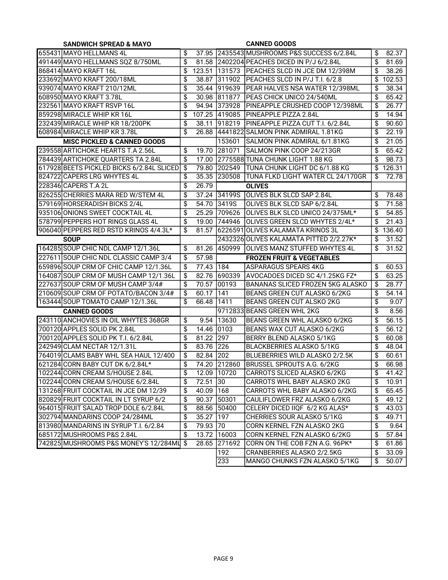| <b>SANDWICH SPREAD &amp; MAYO</b>         |                 |             | <b>CANNED GOODS</b> |                                                             |                       |                    |  |
|-------------------------------------------|-----------------|-------------|---------------------|-------------------------------------------------------------|-----------------------|--------------------|--|
| 655431 MAYO HELLMANS 4L                   | \$              |             |                     | 37.95 2435543 MUSHROOMS P&S SUCCESS 6/2.84L                 | \$                    | 82.37              |  |
| 491449 MAYO HELLMANS SQZ 8/750ML          | \$              |             |                     | 81.58 2402204 PEACHES DICED IN P/J 6/2.84L                  | \$                    | 81.69              |  |
| 868414 MAYO KRAFT 16L                     | \$              |             |                     | 123.51 131573 PEACHES SLCD IN JCE DM 12/398M                | \$                    | 38.26              |  |
| 233692 MAYO KRAFT 200/18ML                | \$              | 38.87       |                     | 311902 PEACHES SLCD IN P/J T.I. 6/2.8                       | \$                    | 102.53             |  |
| 939074 MAYO KRAFT 210/12ML                | $\overline{\$}$ |             |                     | 35.44 919639 PEAR HALVES NSA WATER 12/398ML                 | \$                    | 38.34              |  |
| 608950 MAYO KRAFT 3.78L                   | $\overline{\$}$ |             | 30.98 811877        | <b>PEAS CHICK UNICO 24/540ML</b>                            | \$                    | 65.42              |  |
| 232561 MAYO KRAFT RSVP 16L                | $\overline{\$}$ |             |                     | 94.94 373928 PINEAPPLE CRUSHED COOP 12/398ML                | \$                    | 26.77              |  |
| 859298 MIRACLE WHIP KR 16L                | \$              |             |                     | 107.25 419085 PINEAPPLE PIZZA 2.84L                         | \$                    | 14.94              |  |
| 232439 MIRACLE WHIP KR 18/200PK           | \$              |             |                     | 38.11 918219 PINEAPPLE PIZZA CUT T.I. 6/2.84L               | \$                    | 90.60              |  |
| 608984 MIRACLE WHIP KR 3.78L              | $\overline{\$}$ |             |                     | 26.88 4441822 SALMON PINK ADMIRAL 1.81KG                    | $\overline{\$}$       | 22.19              |  |
| <b>MISC PICKLED &amp; CANNED GOODS</b>    |                 |             | 153601              | SALMON PINK ADMIRAL 6/1.81KG                                | \$                    | 21.05              |  |
| 239558 ARTICHOKE HEARTS T.A 2.56L         | \$              | 19.70       | 281071              | SALMON PINK COOP 24/213GR                                   | \$                    | 65.42              |  |
| 784439 ARTICHOKE QUARTERS TA 2.84L        | \$              | 17.00       |                     | 2775588 TUNA CHUNK LIGHT 1.88 KG                            | \$                    | 98.73              |  |
| 617928 BEETS PICKLED BICKS 6/2.84L SLICED | \$              | 79.80       |                     | 202549  TUNA CHUNK LIGHT DC 6/1.88 KG                       | \$                    | 126.31             |  |
| 824722 CAPERS LRG WHYTES 4L               | \$              | 35.35       | 230508              | TUNA FLKD LIGHT WATER CL 24/170GR                           | \$                    | 72.78              |  |
| 228346 CAPERS T.A 2L                      | \$              | 26.79       |                     | <b>OLIVES</b>                                               |                       |                    |  |
| 826255 CHERRIES MARA RED W/STEM 4L        | \$              |             |                     | 37.24 34199S OLIVES BLK SLCD SAP 2.84L                      | \$                    | 78.48              |  |
| 579169 HORSERADISH BICKS 2/4L             | \$              | 54.70       | 3419S               | OLIVES BLK SLCD SAP 6/2.84L                                 | \$                    | 71.58              |  |
| 935106 ONIONS SWEET COCKTAIL 4L           | \$              |             |                     | 25.29 709626 OLIVES BLK SLCD UNICO 24/375ML*                | \$                    | 54.85              |  |
| 578799 PEPPERS HOT RINGS GLASS 4L         | \$              |             | 19.00 744946        | OLIVES GREEN SLCD WHYTES 2/4L*                              | \$                    | 21.43              |  |
| 906040 PEPPERS RED RSTD KRINOS 4/4.3L*    | \$              | 81.57       |                     | 6226591 OLIVES KALAMATA KRINOS 3L                           | \$                    | 136.40             |  |
| <b>SOUP</b>                               |                 |             |                     | 2432326 OLIVES KALAMATA PITTED 2/2.27K*                     | \$                    | 31.52              |  |
| 164285 SOUP CHIC NDL CAMP 12/1.36L        | \$              | 81.26       | 450999              | <b>OLIVES MANZ STUFFED WHYTES 4L</b>                        | \$                    | 31.52              |  |
|                                           |                 |             |                     |                                                             |                       |                    |  |
|                                           |                 |             |                     |                                                             |                       |                    |  |
| 227611 SOUP CHIC NDL CLASSIC CAMP 3/4     | \$              | 57.98       |                     | <b>FROZEN FRUIT &amp; VEGETABLES</b>                        |                       |                    |  |
| 659896 SOUP CRM OF CHIC CAMP 12/1.36L     | \$              | 77.43 184   |                     | <b>ASPARAGUS SPEARS 4KG</b>                                 | \$                    | 60.53              |  |
| 164087 SOUP CRM OF MUSH CAMP 12/1.36L     | \$              | 82.76       |                     | 690339 AVOCADOES DICED SC 4/1.25KG FZ*                      | \$                    | 63.25              |  |
| 227637 SOUP CRM OF MUSH CAMP 3/4#         | \$              | 70.57       | 00193               | BANANAS SLICED FROZEN 5KG ALASKO                            | \$                    | 28.77              |  |
| 210609 SOUP CRM OF POTATO/BACON 3/4#      | \$              | 60.17       | 1141                | BEANS GREEN CUT ALASKO 6/2KG                                | \$                    | 54.14              |  |
| 163444 SOUP TOMATO CAMP 12/1.36L          | \$              | 66.48       | 1411                | BEANS GREEN CUT ALSKO 2KG                                   | \$                    | 9.07               |  |
| <b>CANNED GOODS</b>                       |                 |             |                     | 9712833 BEANS GREEN WHL 2KG                                 | \$                    | 8.56               |  |
| 243110 ANCHOVIES IN OIL WHYTES 368GR      | \$              |             | 9.54 13630          | BEANS GREEN WHL ALASKO 6/2KG                                | \$                    | 56.15              |  |
| 700120 APPLES SOLID PK 2.84L              | \$              | 14.46 0103  |                     | <b>BEANS WAX CUT ALASKO 6/2KG</b>                           | \$                    | $\overline{56.12}$ |  |
| 700120 APPLES SOLID PK T.I. 6/2.84L       | \$              | 81.22       | 297                 | BERRY BLEND ALASKO 5/1KG                                    | \$                    | 60.08              |  |
| 242949 CLAM NECTAR 12/1.31L               | \$              | 83.76       | 226                 | <b>BLACKBERRIES ALASKO 5/1KG</b>                            | \$                    | 48.04              |  |
| 764019 CLAMS BABY WHL SEA HAUL 12/400     | \$              | 82.84 202   |                     | BLUEBERRIES WILD ALASKO 2/2.5K                              | \$                    | 60.61              |  |
| 621284 CORN BABY CUT DK 6/2.84L*          | \$              |             | 74.20 212860        | <b>IBRUSSEL SPROUTS A.G. 6/2KG</b>                          | \$                    | 66.98              |  |
| 102244 CORN CREAM S/HOUSE 2.84L           | \$              |             | 12.09 10720         | CARROTS SLICED ALASKO 6/2KG                                 | \$                    | 41.42              |  |
| 102244 CORN CREAM S/HOUSE 6/2.84L         | \$              | 72.51 30    |                     | CARROTS WHL BABY ALASKO 2KG                                 | \$                    | 10.91              |  |
| 131268 FRUIT COCKTAIL IN JCE DM 12/39     | \$              | 40.09 168   |                     | CARROTS WHL BABY ALASKO 6/2KG                               | \$                    | 65.45              |  |
| 820829 FRUIT COCKTAIL IN LT SYRUP 6/2     | \$              | 90.37 50301 |                     | CAULIFLOWER FRZ ALASKO 6/2KG                                | \$                    | 49.12              |  |
| 964015 FRUIT SALAD TROP DOLE 6/2.84L      | \$              |             | 88.56 50400         | CELERY DICED IIQF 6/2 KG ALAS*                              | \$                    | 43.03              |  |
| 302794 MANDARINS COOP 24/284ML            | \$              | 35.27 197   |                     | CHERRIES SOUR ALASKO 5/1KG                                  | \$                    | 49.71              |  |
| 813980 MANDARINS IN SYRUP T.I. 6/2.84     | \$              | 79.93 70    |                     | CORN KERNEL FZN ALASKO 2KG                                  | \$                    | 9.64               |  |
| 685172 MUSHROOMS P&S 2.84L                | \$              |             | 13.72 16003         | CORN KERNEL FZN ALASKO 6/2KG                                | \$                    | 57.84              |  |
| 742825 MUSHROOMS P&S MONEY'S 12/284ML     | \$              |             | 28.65 271692        | CORN ON THE COB FZN A.G. 96PK*                              | \$                    | 61.86              |  |
|                                           |                 |             | 192<br>233          | CRANBERRIES ALASKO 2/2.5KG<br>MANGO CHUNKS FZN ALASKO 5/1KG | \$<br>$\overline{\$}$ | 33.09<br>50.07     |  |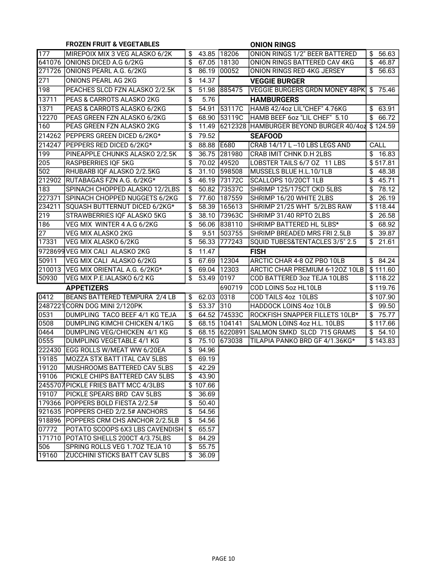| 177<br><b>ONION RINGS 1/2" BEER BATTERED</b><br>MIREPOIX MIX 3 VEG ALASKO 6/2K<br>43.85<br>18206<br>\$<br>\$56.63<br>$\overline{\$}$ 46.87<br>641076<br><b>ONIONS DICED A.G 6/2KG</b><br>\$<br>67.05 18130<br>ONION RINGS BATTERED CAV 4KG<br>271726<br>00052<br>$\overline{56.63}$<br>ONIONS PEARL A.G. 6/2KG<br>\$<br>86.19<br>ONION RINGS RED 4KG JERSEY<br>271<br>14.37<br>ONIONS PEARL AG 2KG<br>\$<br><b>VEGGIE BURGER</b><br>198<br>PEACHES SLCD FZN ALASKO 2/2.5K<br>51.98<br>1885475<br>VEGGIE BURGERS GRDN MONEY 48PK<br>\$75.46<br>\$<br>13711<br>PEAS & CARROTS ALASKO 2KG<br>5.76<br>\$<br><b>HAMBURGERS</b><br>1371<br>PEAS & CARROTS ALASKO 6/2KG<br>\$<br>54.91<br>53117C<br>HAMB 42/4oz LIL"CHEF" 4.76KG<br>$\overline{\$}$ 63.91<br>12270<br>PEAS GREEN FZN ALASKO 6/2KG<br>\$<br>53119C<br>HAMB BEEF 6oz "LIL CHEF" 5.10<br>\$66.72<br>68.90<br>160<br>PEAS GREEN FZN ALASKO 2KG<br>\$<br>6212328 HAMBURGER BEYOND BURGER 40/4o2 \$124.59<br>11.49<br>214262<br>PEPPERS GREEN DICED 6/2KG*<br>\$<br>79.52<br><b>SEAFOOD</b><br>214247<br>PEPPERS RED DICED 6/2KG*<br>\$<br>88.88 E680<br>CALL<br>CRAB 14/17 L-10 LBS LEGS AND<br>199<br>PINEAPPLE CHUNKS ALASKO 2/2.5K<br>\$<br>36.75 281980<br>CRAB IMIT CHNK D.H 2LBS<br>$\overline{\$}$ 16.83<br>205<br>\$<br>LOBSTER TAILS 6/7 OZ 11 LBS<br>\$517.81<br><b>RASPBERRIES IQF 5KG</b><br>70.02 49520<br>502<br>RHUBARB IQF ALASKO 2/2.5KG<br>\$<br>31.10 598508<br>MUSSELS BLUE H.L.10/1LB<br>$\overline{\$}$ 48.38<br>$\sqrt{3}$ 45.71<br>212902<br>\$<br>46.19 73172C<br>SCALLOPS 10/20CT 1LB<br>RUTABAGAS FZN A.G. 6/2KG*<br>$\sqrt{$}78.12$<br>183<br>50.82 73537C<br>SHRIMP 125/175CT CKD 5LBS<br>SPINACH CHOPPED ALASKO 12/2LBS<br>\$<br>$\overline{\$}$ 26.19<br>227371<br>SPINACH CHOPPED NUGGETS 6/2KG<br>SHRIMP 16/20 WHITE 2LBS<br>77.60 187559<br>\$<br>234211<br>SQUASH BUTTERNUT DICED 6/2KG*<br>SHRIMP 21/25 WHT 5/2LBS RAW<br>\$118.44<br>\$<br>58.39   165613<br>219<br>STRAWBERRIES IQF ALASKO 5KG<br>38.10 73963C<br>\$<br>\$<br>SHRIMP 31/40 RPTO 2LBS<br>26.58<br>68.92<br>\$<br>56.06 838110<br>186<br>VEG MIX WINTER 4 A.G 6/2KG<br>SHRIMP BATTERED HL 5LBS*<br>27<br><b>VEG MIX ALASKO 2KG</b><br>\$<br>1503755<br>$\overline{\$}$ 39.87<br>9.51<br>SHRIMP BREADED MRS FRI 2.5LB<br>\$<br>SQUID TUBES&TENTACLES 3/5" 2.5<br>\$21.61<br>17331<br>VEG MIX ALASKO 6/2KG<br>56.33 777243<br>9728699 VEG MIX CALI ALASKO 2KG<br>\$<br>11.47<br><b>FISH</b><br>50911<br>VEG MIX CALI ALASKO 6/2KG<br>67.69 12304<br>ARCTIC CHAR 4-8 OZ PBO 10LB<br>\$84.24<br>\$<br>210013<br>VEG MIX ORIENTAL A.G. 6/2KG*<br>69.04 12303<br>ARCTIC CHAR PREMIUM 6-120Z 10LB<br>\$111.60<br>\$<br>50930<br>VEG MIX P.E.IALASKO 6/2 KG<br>53.49 0197<br>COD BATTERED 3oz TEJA 10LBS<br>\$118.22<br>\$<br>690719<br>COD LOINS 5oz HL10LB<br>\$119.76<br><b>APPETIZERS</b><br>0412<br>BEANS BATTERED TEMPURA 2/4 LB<br>62.03 0318<br>COD TAILS 4oz 10LBS<br>\$107.90<br>\$<br>2487221 CORN DOG MINI 2/120PK<br>\$<br>53.37 310<br>HADDOCK LOINS 4oz 10LB<br>\$99.50<br>0531<br>DUMPLING TACO BEEF 4/1 KG TEJA<br>64.52 74533C<br>ROCKFISH SNAPPER FILLETS 10LB*<br>\$75.77<br>\$<br>0508<br>DUMPLING KIMCHI CHICKEN 4/1KG<br>68.15 104141<br>SALMON LOINS 4oz H.L. 10LBS<br>\$<br>\$117.66<br>0464<br>DUMPLING VEG/CHICKEN 4/1 KG<br>68.15 6220891<br>SALMON SMKD SLCD 715 GRAMS<br>\$54.10<br>\$<br>0555<br>DUMPLING VEGETABLE 4/1 KG<br>\$<br>75.10 673038<br>TILAPIA PANKO BRD GF 4/1.36KG*<br>\$143.83<br>222430<br>EGG ROLLS W/MEAT WW 6/20EA<br>94.96<br>\$<br>MOZZA STX BATT ITAL CAV 5LBS<br>19185<br>\$<br>69.19 |
|----------------------------------------------------------------------------------------------------------------------------------------------------------------------------------------------------------------------------------------------------------------------------------------------------------------------------------------------------------------------------------------------------------------------------------------------------------------------------------------------------------------------------------------------------------------------------------------------------------------------------------------------------------------------------------------------------------------------------------------------------------------------------------------------------------------------------------------------------------------------------------------------------------------------------------------------------------------------------------------------------------------------------------------------------------------------------------------------------------------------------------------------------------------------------------------------------------------------------------------------------------------------------------------------------------------------------------------------------------------------------------------------------------------------------------------------------------------------------------------------------------------------------------------------------------------------------------------------------------------------------------------------------------------------------------------------------------------------------------------------------------------------------------------------------------------------------------------------------------------------------------------------------------------------------------------------------------------------------------------------------------------------------------------------------------------------------------------------------------------------------------------------------------------------------------------------------------------------------------------------------------------------------------------------------------------------------------------------------------------------------------------------------------------------------------------------------------------------------------------------------------------------------------------------------------------------------------------------------------------------------------------------------------------------------------------------------------------------------------------------------------------------------------------------------------------------------------------------------------------------------------------------------------------------------------------------------------------------------------------------------------------------------------------------------------------------------------------------------------------------------------------------------------------------------------------------------------------------------------------------------------------------------------------------------------------------------------------------------------------------------------------------------------------------------------------------------------------------------------------------------------------------------------------------------------------------------------------------|
|                                                                                                                                                                                                                                                                                                                                                                                                                                                                                                                                                                                                                                                                                                                                                                                                                                                                                                                                                                                                                                                                                                                                                                                                                                                                                                                                                                                                                                                                                                                                                                                                                                                                                                                                                                                                                                                                                                                                                                                                                                                                                                                                                                                                                                                                                                                                                                                                                                                                                                                                                                                                                                                                                                                                                                                                                                                                                                                                                                                                                                                                                                                                                                                                                                                                                                                                                                                                                                                                                                                                                                                              |
|                                                                                                                                                                                                                                                                                                                                                                                                                                                                                                                                                                                                                                                                                                                                                                                                                                                                                                                                                                                                                                                                                                                                                                                                                                                                                                                                                                                                                                                                                                                                                                                                                                                                                                                                                                                                                                                                                                                                                                                                                                                                                                                                                                                                                                                                                                                                                                                                                                                                                                                                                                                                                                                                                                                                                                                                                                                                                                                                                                                                                                                                                                                                                                                                                                                                                                                                                                                                                                                                                                                                                                                              |
|                                                                                                                                                                                                                                                                                                                                                                                                                                                                                                                                                                                                                                                                                                                                                                                                                                                                                                                                                                                                                                                                                                                                                                                                                                                                                                                                                                                                                                                                                                                                                                                                                                                                                                                                                                                                                                                                                                                                                                                                                                                                                                                                                                                                                                                                                                                                                                                                                                                                                                                                                                                                                                                                                                                                                                                                                                                                                                                                                                                                                                                                                                                                                                                                                                                                                                                                                                                                                                                                                                                                                                                              |
|                                                                                                                                                                                                                                                                                                                                                                                                                                                                                                                                                                                                                                                                                                                                                                                                                                                                                                                                                                                                                                                                                                                                                                                                                                                                                                                                                                                                                                                                                                                                                                                                                                                                                                                                                                                                                                                                                                                                                                                                                                                                                                                                                                                                                                                                                                                                                                                                                                                                                                                                                                                                                                                                                                                                                                                                                                                                                                                                                                                                                                                                                                                                                                                                                                                                                                                                                                                                                                                                                                                                                                                              |
|                                                                                                                                                                                                                                                                                                                                                                                                                                                                                                                                                                                                                                                                                                                                                                                                                                                                                                                                                                                                                                                                                                                                                                                                                                                                                                                                                                                                                                                                                                                                                                                                                                                                                                                                                                                                                                                                                                                                                                                                                                                                                                                                                                                                                                                                                                                                                                                                                                                                                                                                                                                                                                                                                                                                                                                                                                                                                                                                                                                                                                                                                                                                                                                                                                                                                                                                                                                                                                                                                                                                                                                              |
|                                                                                                                                                                                                                                                                                                                                                                                                                                                                                                                                                                                                                                                                                                                                                                                                                                                                                                                                                                                                                                                                                                                                                                                                                                                                                                                                                                                                                                                                                                                                                                                                                                                                                                                                                                                                                                                                                                                                                                                                                                                                                                                                                                                                                                                                                                                                                                                                                                                                                                                                                                                                                                                                                                                                                                                                                                                                                                                                                                                                                                                                                                                                                                                                                                                                                                                                                                                                                                                                                                                                                                                              |
|                                                                                                                                                                                                                                                                                                                                                                                                                                                                                                                                                                                                                                                                                                                                                                                                                                                                                                                                                                                                                                                                                                                                                                                                                                                                                                                                                                                                                                                                                                                                                                                                                                                                                                                                                                                                                                                                                                                                                                                                                                                                                                                                                                                                                                                                                                                                                                                                                                                                                                                                                                                                                                                                                                                                                                                                                                                                                                                                                                                                                                                                                                                                                                                                                                                                                                                                                                                                                                                                                                                                                                                              |
|                                                                                                                                                                                                                                                                                                                                                                                                                                                                                                                                                                                                                                                                                                                                                                                                                                                                                                                                                                                                                                                                                                                                                                                                                                                                                                                                                                                                                                                                                                                                                                                                                                                                                                                                                                                                                                                                                                                                                                                                                                                                                                                                                                                                                                                                                                                                                                                                                                                                                                                                                                                                                                                                                                                                                                                                                                                                                                                                                                                                                                                                                                                                                                                                                                                                                                                                                                                                                                                                                                                                                                                              |
|                                                                                                                                                                                                                                                                                                                                                                                                                                                                                                                                                                                                                                                                                                                                                                                                                                                                                                                                                                                                                                                                                                                                                                                                                                                                                                                                                                                                                                                                                                                                                                                                                                                                                                                                                                                                                                                                                                                                                                                                                                                                                                                                                                                                                                                                                                                                                                                                                                                                                                                                                                                                                                                                                                                                                                                                                                                                                                                                                                                                                                                                                                                                                                                                                                                                                                                                                                                                                                                                                                                                                                                              |
|                                                                                                                                                                                                                                                                                                                                                                                                                                                                                                                                                                                                                                                                                                                                                                                                                                                                                                                                                                                                                                                                                                                                                                                                                                                                                                                                                                                                                                                                                                                                                                                                                                                                                                                                                                                                                                                                                                                                                                                                                                                                                                                                                                                                                                                                                                                                                                                                                                                                                                                                                                                                                                                                                                                                                                                                                                                                                                                                                                                                                                                                                                                                                                                                                                                                                                                                                                                                                                                                                                                                                                                              |
|                                                                                                                                                                                                                                                                                                                                                                                                                                                                                                                                                                                                                                                                                                                                                                                                                                                                                                                                                                                                                                                                                                                                                                                                                                                                                                                                                                                                                                                                                                                                                                                                                                                                                                                                                                                                                                                                                                                                                                                                                                                                                                                                                                                                                                                                                                                                                                                                                                                                                                                                                                                                                                                                                                                                                                                                                                                                                                                                                                                                                                                                                                                                                                                                                                                                                                                                                                                                                                                                                                                                                                                              |
|                                                                                                                                                                                                                                                                                                                                                                                                                                                                                                                                                                                                                                                                                                                                                                                                                                                                                                                                                                                                                                                                                                                                                                                                                                                                                                                                                                                                                                                                                                                                                                                                                                                                                                                                                                                                                                                                                                                                                                                                                                                                                                                                                                                                                                                                                                                                                                                                                                                                                                                                                                                                                                                                                                                                                                                                                                                                                                                                                                                                                                                                                                                                                                                                                                                                                                                                                                                                                                                                                                                                                                                              |
|                                                                                                                                                                                                                                                                                                                                                                                                                                                                                                                                                                                                                                                                                                                                                                                                                                                                                                                                                                                                                                                                                                                                                                                                                                                                                                                                                                                                                                                                                                                                                                                                                                                                                                                                                                                                                                                                                                                                                                                                                                                                                                                                                                                                                                                                                                                                                                                                                                                                                                                                                                                                                                                                                                                                                                                                                                                                                                                                                                                                                                                                                                                                                                                                                                                                                                                                                                                                                                                                                                                                                                                              |
|                                                                                                                                                                                                                                                                                                                                                                                                                                                                                                                                                                                                                                                                                                                                                                                                                                                                                                                                                                                                                                                                                                                                                                                                                                                                                                                                                                                                                                                                                                                                                                                                                                                                                                                                                                                                                                                                                                                                                                                                                                                                                                                                                                                                                                                                                                                                                                                                                                                                                                                                                                                                                                                                                                                                                                                                                                                                                                                                                                                                                                                                                                                                                                                                                                                                                                                                                                                                                                                                                                                                                                                              |
|                                                                                                                                                                                                                                                                                                                                                                                                                                                                                                                                                                                                                                                                                                                                                                                                                                                                                                                                                                                                                                                                                                                                                                                                                                                                                                                                                                                                                                                                                                                                                                                                                                                                                                                                                                                                                                                                                                                                                                                                                                                                                                                                                                                                                                                                                                                                                                                                                                                                                                                                                                                                                                                                                                                                                                                                                                                                                                                                                                                                                                                                                                                                                                                                                                                                                                                                                                                                                                                                                                                                                                                              |
|                                                                                                                                                                                                                                                                                                                                                                                                                                                                                                                                                                                                                                                                                                                                                                                                                                                                                                                                                                                                                                                                                                                                                                                                                                                                                                                                                                                                                                                                                                                                                                                                                                                                                                                                                                                                                                                                                                                                                                                                                                                                                                                                                                                                                                                                                                                                                                                                                                                                                                                                                                                                                                                                                                                                                                                                                                                                                                                                                                                                                                                                                                                                                                                                                                                                                                                                                                                                                                                                                                                                                                                              |
|                                                                                                                                                                                                                                                                                                                                                                                                                                                                                                                                                                                                                                                                                                                                                                                                                                                                                                                                                                                                                                                                                                                                                                                                                                                                                                                                                                                                                                                                                                                                                                                                                                                                                                                                                                                                                                                                                                                                                                                                                                                                                                                                                                                                                                                                                                                                                                                                                                                                                                                                                                                                                                                                                                                                                                                                                                                                                                                                                                                                                                                                                                                                                                                                                                                                                                                                                                                                                                                                                                                                                                                              |
|                                                                                                                                                                                                                                                                                                                                                                                                                                                                                                                                                                                                                                                                                                                                                                                                                                                                                                                                                                                                                                                                                                                                                                                                                                                                                                                                                                                                                                                                                                                                                                                                                                                                                                                                                                                                                                                                                                                                                                                                                                                                                                                                                                                                                                                                                                                                                                                                                                                                                                                                                                                                                                                                                                                                                                                                                                                                                                                                                                                                                                                                                                                                                                                                                                                                                                                                                                                                                                                                                                                                                                                              |
|                                                                                                                                                                                                                                                                                                                                                                                                                                                                                                                                                                                                                                                                                                                                                                                                                                                                                                                                                                                                                                                                                                                                                                                                                                                                                                                                                                                                                                                                                                                                                                                                                                                                                                                                                                                                                                                                                                                                                                                                                                                                                                                                                                                                                                                                                                                                                                                                                                                                                                                                                                                                                                                                                                                                                                                                                                                                                                                                                                                                                                                                                                                                                                                                                                                                                                                                                                                                                                                                                                                                                                                              |
|                                                                                                                                                                                                                                                                                                                                                                                                                                                                                                                                                                                                                                                                                                                                                                                                                                                                                                                                                                                                                                                                                                                                                                                                                                                                                                                                                                                                                                                                                                                                                                                                                                                                                                                                                                                                                                                                                                                                                                                                                                                                                                                                                                                                                                                                                                                                                                                                                                                                                                                                                                                                                                                                                                                                                                                                                                                                                                                                                                                                                                                                                                                                                                                                                                                                                                                                                                                                                                                                                                                                                                                              |
|                                                                                                                                                                                                                                                                                                                                                                                                                                                                                                                                                                                                                                                                                                                                                                                                                                                                                                                                                                                                                                                                                                                                                                                                                                                                                                                                                                                                                                                                                                                                                                                                                                                                                                                                                                                                                                                                                                                                                                                                                                                                                                                                                                                                                                                                                                                                                                                                                                                                                                                                                                                                                                                                                                                                                                                                                                                                                                                                                                                                                                                                                                                                                                                                                                                                                                                                                                                                                                                                                                                                                                                              |
|                                                                                                                                                                                                                                                                                                                                                                                                                                                                                                                                                                                                                                                                                                                                                                                                                                                                                                                                                                                                                                                                                                                                                                                                                                                                                                                                                                                                                                                                                                                                                                                                                                                                                                                                                                                                                                                                                                                                                                                                                                                                                                                                                                                                                                                                                                                                                                                                                                                                                                                                                                                                                                                                                                                                                                                                                                                                                                                                                                                                                                                                                                                                                                                                                                                                                                                                                                                                                                                                                                                                                                                              |
|                                                                                                                                                                                                                                                                                                                                                                                                                                                                                                                                                                                                                                                                                                                                                                                                                                                                                                                                                                                                                                                                                                                                                                                                                                                                                                                                                                                                                                                                                                                                                                                                                                                                                                                                                                                                                                                                                                                                                                                                                                                                                                                                                                                                                                                                                                                                                                                                                                                                                                                                                                                                                                                                                                                                                                                                                                                                                                                                                                                                                                                                                                                                                                                                                                                                                                                                                                                                                                                                                                                                                                                              |
|                                                                                                                                                                                                                                                                                                                                                                                                                                                                                                                                                                                                                                                                                                                                                                                                                                                                                                                                                                                                                                                                                                                                                                                                                                                                                                                                                                                                                                                                                                                                                                                                                                                                                                                                                                                                                                                                                                                                                                                                                                                                                                                                                                                                                                                                                                                                                                                                                                                                                                                                                                                                                                                                                                                                                                                                                                                                                                                                                                                                                                                                                                                                                                                                                                                                                                                                                                                                                                                                                                                                                                                              |
|                                                                                                                                                                                                                                                                                                                                                                                                                                                                                                                                                                                                                                                                                                                                                                                                                                                                                                                                                                                                                                                                                                                                                                                                                                                                                                                                                                                                                                                                                                                                                                                                                                                                                                                                                                                                                                                                                                                                                                                                                                                                                                                                                                                                                                                                                                                                                                                                                                                                                                                                                                                                                                                                                                                                                                                                                                                                                                                                                                                                                                                                                                                                                                                                                                                                                                                                                                                                                                                                                                                                                                                              |
|                                                                                                                                                                                                                                                                                                                                                                                                                                                                                                                                                                                                                                                                                                                                                                                                                                                                                                                                                                                                                                                                                                                                                                                                                                                                                                                                                                                                                                                                                                                                                                                                                                                                                                                                                                                                                                                                                                                                                                                                                                                                                                                                                                                                                                                                                                                                                                                                                                                                                                                                                                                                                                                                                                                                                                                                                                                                                                                                                                                                                                                                                                                                                                                                                                                                                                                                                                                                                                                                                                                                                                                              |
|                                                                                                                                                                                                                                                                                                                                                                                                                                                                                                                                                                                                                                                                                                                                                                                                                                                                                                                                                                                                                                                                                                                                                                                                                                                                                                                                                                                                                                                                                                                                                                                                                                                                                                                                                                                                                                                                                                                                                                                                                                                                                                                                                                                                                                                                                                                                                                                                                                                                                                                                                                                                                                                                                                                                                                                                                                                                                                                                                                                                                                                                                                                                                                                                                                                                                                                                                                                                                                                                                                                                                                                              |
|                                                                                                                                                                                                                                                                                                                                                                                                                                                                                                                                                                                                                                                                                                                                                                                                                                                                                                                                                                                                                                                                                                                                                                                                                                                                                                                                                                                                                                                                                                                                                                                                                                                                                                                                                                                                                                                                                                                                                                                                                                                                                                                                                                                                                                                                                                                                                                                                                                                                                                                                                                                                                                                                                                                                                                                                                                                                                                                                                                                                                                                                                                                                                                                                                                                                                                                                                                                                                                                                                                                                                                                              |
|                                                                                                                                                                                                                                                                                                                                                                                                                                                                                                                                                                                                                                                                                                                                                                                                                                                                                                                                                                                                                                                                                                                                                                                                                                                                                                                                                                                                                                                                                                                                                                                                                                                                                                                                                                                                                                                                                                                                                                                                                                                                                                                                                                                                                                                                                                                                                                                                                                                                                                                                                                                                                                                                                                                                                                                                                                                                                                                                                                                                                                                                                                                                                                                                                                                                                                                                                                                                                                                                                                                                                                                              |
|                                                                                                                                                                                                                                                                                                                                                                                                                                                                                                                                                                                                                                                                                                                                                                                                                                                                                                                                                                                                                                                                                                                                                                                                                                                                                                                                                                                                                                                                                                                                                                                                                                                                                                                                                                                                                                                                                                                                                                                                                                                                                                                                                                                                                                                                                                                                                                                                                                                                                                                                                                                                                                                                                                                                                                                                                                                                                                                                                                                                                                                                                                                                                                                                                                                                                                                                                                                                                                                                                                                                                                                              |
|                                                                                                                                                                                                                                                                                                                                                                                                                                                                                                                                                                                                                                                                                                                                                                                                                                                                                                                                                                                                                                                                                                                                                                                                                                                                                                                                                                                                                                                                                                                                                                                                                                                                                                                                                                                                                                                                                                                                                                                                                                                                                                                                                                                                                                                                                                                                                                                                                                                                                                                                                                                                                                                                                                                                                                                                                                                                                                                                                                                                                                                                                                                                                                                                                                                                                                                                                                                                                                                                                                                                                                                              |
|                                                                                                                                                                                                                                                                                                                                                                                                                                                                                                                                                                                                                                                                                                                                                                                                                                                                                                                                                                                                                                                                                                                                                                                                                                                                                                                                                                                                                                                                                                                                                                                                                                                                                                                                                                                                                                                                                                                                                                                                                                                                                                                                                                                                                                                                                                                                                                                                                                                                                                                                                                                                                                                                                                                                                                                                                                                                                                                                                                                                                                                                                                                                                                                                                                                                                                                                                                                                                                                                                                                                                                                              |
|                                                                                                                                                                                                                                                                                                                                                                                                                                                                                                                                                                                                                                                                                                                                                                                                                                                                                                                                                                                                                                                                                                                                                                                                                                                                                                                                                                                                                                                                                                                                                                                                                                                                                                                                                                                                                                                                                                                                                                                                                                                                                                                                                                                                                                                                                                                                                                                                                                                                                                                                                                                                                                                                                                                                                                                                                                                                                                                                                                                                                                                                                                                                                                                                                                                                                                                                                                                                                                                                                                                                                                                              |
|                                                                                                                                                                                                                                                                                                                                                                                                                                                                                                                                                                                                                                                                                                                                                                                                                                                                                                                                                                                                                                                                                                                                                                                                                                                                                                                                                                                                                                                                                                                                                                                                                                                                                                                                                                                                                                                                                                                                                                                                                                                                                                                                                                                                                                                                                                                                                                                                                                                                                                                                                                                                                                                                                                                                                                                                                                                                                                                                                                                                                                                                                                                                                                                                                                                                                                                                                                                                                                                                                                                                                                                              |
|                                                                                                                                                                                                                                                                                                                                                                                                                                                                                                                                                                                                                                                                                                                                                                                                                                                                                                                                                                                                                                                                                                                                                                                                                                                                                                                                                                                                                                                                                                                                                                                                                                                                                                                                                                                                                                                                                                                                                                                                                                                                                                                                                                                                                                                                                                                                                                                                                                                                                                                                                                                                                                                                                                                                                                                                                                                                                                                                                                                                                                                                                                                                                                                                                                                                                                                                                                                                                                                                                                                                                                                              |
| 19120<br>$\overline{\$}$<br>42.29<br>MUSHROOMS BATTERED CAV 5LBS                                                                                                                                                                                                                                                                                                                                                                                                                                                                                                                                                                                                                                                                                                                                                                                                                                                                                                                                                                                                                                                                                                                                                                                                                                                                                                                                                                                                                                                                                                                                                                                                                                                                                                                                                                                                                                                                                                                                                                                                                                                                                                                                                                                                                                                                                                                                                                                                                                                                                                                                                                                                                                                                                                                                                                                                                                                                                                                                                                                                                                                                                                                                                                                                                                                                                                                                                                                                                                                                                                                             |
| 19106<br><b>PICKLE CHIPS BATTERED CAV 5LBS</b><br>\$43.90                                                                                                                                                                                                                                                                                                                                                                                                                                                                                                                                                                                                                                                                                                                                                                                                                                                                                                                                                                                                                                                                                                                                                                                                                                                                                                                                                                                                                                                                                                                                                                                                                                                                                                                                                                                                                                                                                                                                                                                                                                                                                                                                                                                                                                                                                                                                                                                                                                                                                                                                                                                                                                                                                                                                                                                                                                                                                                                                                                                                                                                                                                                                                                                                                                                                                                                                                                                                                                                                                                                                    |
| 2455707 PICKLE FRIES BATT MCC 4/3LBS<br>\$107.66                                                                                                                                                                                                                                                                                                                                                                                                                                                                                                                                                                                                                                                                                                                                                                                                                                                                                                                                                                                                                                                                                                                                                                                                                                                                                                                                                                                                                                                                                                                                                                                                                                                                                                                                                                                                                                                                                                                                                                                                                                                                                                                                                                                                                                                                                                                                                                                                                                                                                                                                                                                                                                                                                                                                                                                                                                                                                                                                                                                                                                                                                                                                                                                                                                                                                                                                                                                                                                                                                                                                             |
| 19107<br><b>PICKLE SPEARS BRD CAV 5LBS</b><br>36.69<br>\$                                                                                                                                                                                                                                                                                                                                                                                                                                                                                                                                                                                                                                                                                                                                                                                                                                                                                                                                                                                                                                                                                                                                                                                                                                                                                                                                                                                                                                                                                                                                                                                                                                                                                                                                                                                                                                                                                                                                                                                                                                                                                                                                                                                                                                                                                                                                                                                                                                                                                                                                                                                                                                                                                                                                                                                                                                                                                                                                                                                                                                                                                                                                                                                                                                                                                                                                                                                                                                                                                                                                    |
| 179366 POPPERS BOLD FIESTA 2/2.5#<br>50.40<br>\$                                                                                                                                                                                                                                                                                                                                                                                                                                                                                                                                                                                                                                                                                                                                                                                                                                                                                                                                                                                                                                                                                                                                                                                                                                                                                                                                                                                                                                                                                                                                                                                                                                                                                                                                                                                                                                                                                                                                                                                                                                                                                                                                                                                                                                                                                                                                                                                                                                                                                                                                                                                                                                                                                                                                                                                                                                                                                                                                                                                                                                                                                                                                                                                                                                                                                                                                                                                                                                                                                                                                             |
| 921635 POPPERS CHED 2/2.5# ANCHORS<br>54.56<br>\$                                                                                                                                                                                                                                                                                                                                                                                                                                                                                                                                                                                                                                                                                                                                                                                                                                                                                                                                                                                                                                                                                                                                                                                                                                                                                                                                                                                                                                                                                                                                                                                                                                                                                                                                                                                                                                                                                                                                                                                                                                                                                                                                                                                                                                                                                                                                                                                                                                                                                                                                                                                                                                                                                                                                                                                                                                                                                                                                                                                                                                                                                                                                                                                                                                                                                                                                                                                                                                                                                                                                            |
| 918896 POPPERS CRM CHS ANCHOR 2/2.5LB<br>54.56<br>\$                                                                                                                                                                                                                                                                                                                                                                                                                                                                                                                                                                                                                                                                                                                                                                                                                                                                                                                                                                                                                                                                                                                                                                                                                                                                                                                                                                                                                                                                                                                                                                                                                                                                                                                                                                                                                                                                                                                                                                                                                                                                                                                                                                                                                                                                                                                                                                                                                                                                                                                                                                                                                                                                                                                                                                                                                                                                                                                                                                                                                                                                                                                                                                                                                                                                                                                                                                                                                                                                                                                                         |
| 07772<br><b>POTATO SCOOPS 6X3 LBS CAVENDISH</b><br>65.57<br>\$                                                                                                                                                                                                                                                                                                                                                                                                                                                                                                                                                                                                                                                                                                                                                                                                                                                                                                                                                                                                                                                                                                                                                                                                                                                                                                                                                                                                                                                                                                                                                                                                                                                                                                                                                                                                                                                                                                                                                                                                                                                                                                                                                                                                                                                                                                                                                                                                                                                                                                                                                                                                                                                                                                                                                                                                                                                                                                                                                                                                                                                                                                                                                                                                                                                                                                                                                                                                                                                                                                                               |
| 171710<br>POTATO SHELLS 200CT 4/3.75LBS<br>84.29<br>\$                                                                                                                                                                                                                                                                                                                                                                                                                                                                                                                                                                                                                                                                                                                                                                                                                                                                                                                                                                                                                                                                                                                                                                                                                                                                                                                                                                                                                                                                                                                                                                                                                                                                                                                                                                                                                                                                                                                                                                                                                                                                                                                                                                                                                                                                                                                                                                                                                                                                                                                                                                                                                                                                                                                                                                                                                                                                                                                                                                                                                                                                                                                                                                                                                                                                                                                                                                                                                                                                                                                                       |
| SPRING ROLLS VEG 1.70Z TEJA 10<br>506<br>55.75<br>\$                                                                                                                                                                                                                                                                                                                                                                                                                                                                                                                                                                                                                                                                                                                                                                                                                                                                                                                                                                                                                                                                                                                                                                                                                                                                                                                                                                                                                                                                                                                                                                                                                                                                                                                                                                                                                                                                                                                                                                                                                                                                                                                                                                                                                                                                                                                                                                                                                                                                                                                                                                                                                                                                                                                                                                                                                                                                                                                                                                                                                                                                                                                                                                                                                                                                                                                                                                                                                                                                                                                                         |
| 19160<br><b>ZUCCHINI STICKS BATT CAV 5LBS</b><br>\$<br>36.09                                                                                                                                                                                                                                                                                                                                                                                                                                                                                                                                                                                                                                                                                                                                                                                                                                                                                                                                                                                                                                                                                                                                                                                                                                                                                                                                                                                                                                                                                                                                                                                                                                                                                                                                                                                                                                                                                                                                                                                                                                                                                                                                                                                                                                                                                                                                                                                                                                                                                                                                                                                                                                                                                                                                                                                                                                                                                                                                                                                                                                                                                                                                                                                                                                                                                                                                                                                                                                                                                                                                 |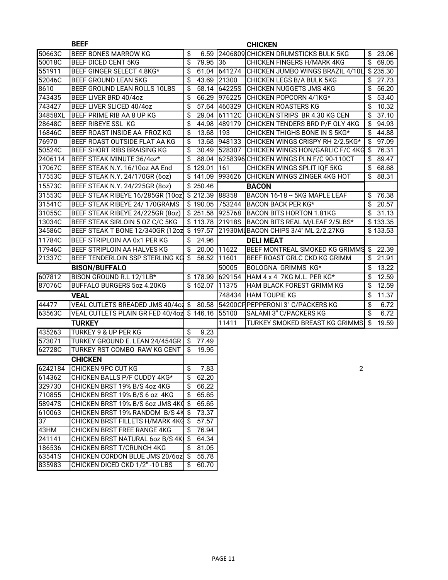|                  | <b>BEEF</b>                                                    |                             |        | <b>CHICKEN</b>                          |                          |
|------------------|----------------------------------------------------------------|-----------------------------|--------|-----------------------------------------|--------------------------|
| 50663C           | <b>BEEF BONES MARROW KG</b>                                    | \$<br>6.59                  |        | 2406809 CHICKEN DRUMSTICKS BULK 5KG     | $\frac{1}{2}$ 23.06      |
| 50018C           | <b>BEEF DICED CENT 5KG</b>                                     | \$<br>79.95                 | 36     | CHICKEN FINGERS H/MARK 4KG              | $\frac{1}{2}$ 69.05      |
| 551911           | BEEF GINGER SELECT 4.8KG*                                      | \$<br>61.04                 |        | 641274 CHICKEN JUMBO WINGS BRAZIL 4/10L | \$235.30                 |
| 52046C           | <b>BEEF GROUND LEAN 5KG</b>                                    | \$<br>43.69                 | 21300  | <b>CHICKEN LEGS B/A BULK 5KG</b>        | \$<br>27.73              |
| 8610             | BEEF GROUND LEAN ROLLS 10LBS                                   | \$<br>58.14                 | 64225S | <b>CHICKEN NUGGETS JMS 4KG</b>          | \$<br>56.20              |
| 743435           | BEEF LIVER BRD 40/4oz                                          | \$<br>66.29                 | 976225 | CHICKEN POPCORN 4/1KG*                  | \$<br>53.40              |
| 743427           | BEEF LIVER SLICED 40/4oz                                       | \$<br>57.64                 | 460329 | <b>CHICKEN ROASTERS KG</b>              | \$<br>10.32              |
| 34858XL          | BEEF PRIME RIB AA 8 UP KG                                      | \$<br>29.04                 |        | 61112C CHICKEN STRIPS BR 4.30 KG CEN    | $\overline{\$}$<br>37.10 |
| 28648C           | <b>BEEF RIBEYE SSL KG</b>                                      | \$<br>44.98                 | 489179 | CHICKEN TENDERS BRD P/F OLY 4KG         | \$<br>94.93              |
| 16846C           | BEEF ROAST INSIDE AA FROZ KG                                   | \$<br>13.68                 | 193    | CHICKEN THIGHS BONE IN S 5KG*           | \$<br>44.88              |
| 76970            | BEEF ROAST OUTSIDE FLAT AA KG                                  | \$<br>13.68                 | 948133 | CHICKEN WINGS CRISPY RH 2/2.5KG*        | $\overline{\$}$<br>97.09 |
| 50524C           | <b>BEEF SHORT RIBS BRAISING KG</b>                             | \$<br>30.49                 |        | 528307 CHICKEN WINGS HON/GARLIC F/C 4KG | \$<br>76.31              |
| 2406114          | BEEF STEAK MINUTE 36/4oz*                                      | \$<br>88.04                 |        | 6258396 CHICKEN WINGS PLN F/C 90-110CT  | \$<br>89.47              |
| 17067C           | BEEF STEAK N.Y. 16/10oz AA End                                 | \$129.01                    | 161    | CHICKEN WINGS SPLIT IQF 5KG             | \$<br>68.68              |
| 17553C           | <b>BEEF STEAK N.Y. 24/170GR (6oz)</b>                          | \$141.09                    | 993626 | CHICKEN WINGS ZINGER 4KG HOT            | \$<br>88.31              |
| 15573C           | BEEF STEAK N.Y. 24/225GR (8oz)                                 | \$250.46                    |        | <b>BACON</b>                            |                          |
| 31553C           | BEEF STEAK RIBEYE 16/285GR (10oz)                              | \$212.39 88358              |        | BACON 16-18 - 5KG MAPLE LEAF            | \$76.38                  |
| 31541C           | BEEF STEAK RIBEYE 24/ 170GRAMS                                 | $$190.05$ 753244            |        | <b>BACON BACK PER KG*</b>               | $\sqrt{$}$ 20.57         |
| 31055C           | BEEF STEAK RIBEYE 24/225GR (8oz)                               | \$251.58 925768             |        | <b>BACON BITS HORTON 1.81KG</b>         | \$31.13                  |
| 13034C           | BEEF STEAK SIRLOIN 5 OZ C/C 5KG                                | \$113.78 21918S             |        | BACON BITS REAL M/LEAF 2/5LBS*          | \$133.35                 |
| 34586C           | BEEF STEAK T BONE 12/340GR (12oz \$ 197.57                     |                             |        | 21930MLBACON CHIPS 3/4" ML 2/2.27KG     | \$133.53                 |
| 11784C           | BEEF STRIPLOIN AA 0x1 PER KG                                   | 24.96<br>\$                 |        | <b>DELI MEAT</b>                        |                          |
| 17946C           | BEEF STRIPLOIN AA HALVES KG                                    | \$<br>20.00                 | 11622  | BEEF MONTREAL SMOKED KG GRIMMS          | 22.39<br>\$              |
| 21337C           | <b>BEEF TENDERLOIN SSP STERLING KG \$</b>                      | 56.52                       | 11601  | BEEF ROAST GRLC CKD KG GRIMM            | \$<br>21.91              |
|                  | <b>BISON/BUFFALO</b>                                           |                             | 50005  | BOLOGNA GRIMMS KG*                      | 13.22<br>\$              |
| 607812           | BISON GROUND R.L 12/1LB*                                       | \$178.99                    | 629154 | HAM 4 x 4 7KG M.L. PER KG*              | 12.59<br>\$              |
| 87076C           | <b>BUFFALO BURGERS 5oz 4.20KG</b>                              | \$152.07                    | 11375  | HAM BLACK FOREST GRIMM KG               | \$<br>12.59              |
|                  | <b>VEAL</b>                                                    |                             | 748434 | <b>HAM TOUPIE KG</b>                    | \$<br>11.37              |
| 44477            | VEAL CUTLETS BREADED JMS 40/4o2 \$                             |                             |        | 80.58 54200CF PEPPERONI 3" C/PACKERS KG | \$<br>6.72               |
| 63563C           | VEAL CUTLETS PLAIN GR FED 40/4oz                               | $$146.16$ 55100             |        | SALAMI 3" C/PACKERS KG                  | $\overline{\$}$<br>6.72  |
|                  | <b>TURKEY</b>                                                  |                             | 11411  | <b>TURKEY SMOKED BREAST KG GRIMMS</b>   | \$<br>19.59              |
| 435263           | TURKEY 9 & UP PER KG                                           | 9.23<br>\$                  |        |                                         |                          |
| 573071           | TURKEY GROUND E. LEAN 24/454GR                                 | \$<br>77.49                 |        |                                         |                          |
| 62728C           | TURKEY RST COMBO RAW KG CENT                                   | \$<br>19.95                 |        |                                         |                          |
|                  |                                                                |                             |        |                                         |                          |
|                  | <b>CHICKEN</b><br>6242184 CHICKEN 9PC CUT KG                   |                             |        |                                         |                          |
|                  |                                                                | \$<br>7.83                  |        | 2                                       |                          |
| 614362<br>329730 | CHICKEN BALLS P/F CUDDY 4KG*                                   | \$<br>62.20                 |        |                                         |                          |
| 710855           | CHICKEN BRST 19% B/S 4oz 4KG                                   | 66.22<br>\$                 |        |                                         |                          |
|                  | CHICKEN BRST 19% B/S 6 oz 4KG                                  | \$<br>65.65                 |        |                                         |                          |
| 58947S           | CHICKEN BRST 19% B/S 6oz JMS 4KQ \$                            | 65.65                       |        |                                         |                          |
| 610063           | CHICKEN BRST 19% RANDOM B/S 4K \$                              | 73.37                       |        |                                         |                          |
| 37<br>43HM       | CHICKEN BRST FILLETS H/MARK 4KG \$                             | 57.57                       |        |                                         |                          |
| 241141           | CHICKEN BRST FREE RANGE 4KG<br>CHICKEN BRST NATURAL 6oz B/S 4K | 76.94<br>\$<br>-\$<br>64.34 |        |                                         |                          |
|                  | CHICKEN BRST T/CRUNCH 4KG                                      | \$                          |        |                                         |                          |
| 186536<br>63541S | CHICKEN CORDON BLUE JMS 20/6oz \$                              | 81.05                       |        |                                         |                          |
|                  | CHICKEN DICED CKD 1/2" -10 LBS                                 | 55.78<br>60.70<br>\$        |        |                                         |                          |
| 835983           |                                                                |                             |        |                                         |                          |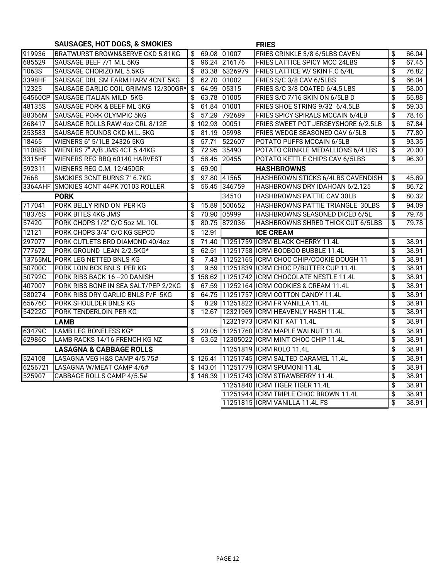## SAUSAGES, HOT DOGS, & SMOKIES FRIES

| 919936  | IBRATWURST BROWN&SERVE CKD 5.81KG    | \$           | 69.08 01007   | FRIES CRINKLE 3/8 6/5LBS CAVEN                                            | \$                       | 66.04          |
|---------|--------------------------------------|--------------|---------------|---------------------------------------------------------------------------|--------------------------|----------------|
| 685529  | SAUSAGE BEEF 7/1 M.L 5KG             | \$           | 96.24 216176  | <b>FRIES LATTICE SPICY MCC 24LBS</b>                                      | \$                       | 67.45          |
| 1063S   | SAUSAGE CHORIZO ML 5.5KG             | \$           | 83.38 6326979 | FRIES LATTICE W/ SKIN F.C 6/4L                                            | \$                       | 76.82          |
| 3398HF  | SAUSAGE DBL SM FARM HARV 4CNT 5KG    | \$<br>62.70  | 01002         | FRIES S/C 3/8 CAV 6/5LBS                                                  | \$                       | 66.04          |
| 12325   | SAUSAGE GARLIC COIL GRIMMS 12/300GR* | \$<br>64.99  | 05315         | FRIES S/C 3/8 COATED 6/4.5 LBS                                            | \$                       | 58.00          |
| 64560CP | SAUSAGE ITALIAN MILD 5KG             | 63.78<br>\$  | 01005         | FRIES S/C 7/16 SKIN ON 6/5LB D                                            | \$                       | 65.88          |
| 48135S  | SAUSAGE PORK & BEEF ML 5KG           | \$<br>61.84  | 01001         | FRIES SHOE STRING 9/32" 6/4.5LB                                           | \$                       | 59.33          |
| 88366M  | SAUSAGE PORK OLYMPIC 5KG             | \$<br>57.29  | 792689        | FRIES SPICY SPIRALS MCCAIN 6/4LB                                          | \$                       | 78.16          |
| 268417  | SAUSAGE ROLLS RAW 4oz CRL 8/12E      | \$<br>102.93 | 00051         | FRIES SWEET POT JERSEYSHORE 6/2.5LB                                       | \$                       | 67.84          |
| 253583  | SAUSAGE ROUNDS CKD M.L. 5KG          | \$<br>81.19  | 05998         | FRIES WEDGE SEASONED CAV 6/5LB                                            | \$                       | 77.80          |
| 18465   | WIENERS 6" 5/1LB 24326 5KG           | \$<br>57.71  | 522607        | POTATO PUFFS MCCAIN 6/5LB                                                 | \$                       | 93.35          |
| 11088S  | WIENERS 7" A/B JMS 4CT 5.44KG        | \$           | 72.95 35490   | POTATO CRINKLE MEDALLIONS 6/4 LBS                                         | \$                       | 20.00          |
| 3315HF  | <b>WIENERS REG BBQ 60140 HARVEST</b> | \$           | 56.45 20455   | POTATO KETTLE CHIPS CAV 6/5LBS                                            | \$                       | 96.30          |
| 592311  | WIENERS REG C.M. 12/450GR            | 69.90<br>\$  |               | <b>HASHBROWNS</b>                                                         |                          |                |
| 7668    | SMOKIES 3CNT BURNS 7" 6.7KG          | \$           | 97.80 41565   | HASHBROWN STICKS 6/4LBS CAVENDISH                                         | \$                       | 45.69          |
| 3364AHF | SMOKIES 4CNT 44PK 70103 ROLLER       | \$           | 56.45 346759  | HASHBROWNS DRY IDAHOAN 6/2.125                                            | $\overline{\$}$          | 86.72          |
|         | <b>PORK</b>                          |              | 34510         | HASHBROWNS PATTIE CAV 30LB                                                | \$                       | 80.32          |
| 717041  | PORK BELLY RIND ON PER KG            | 15.89<br>\$  | 500652        | HASHBROWNS PATTIE TRIANGLE 30LBS                                          | $\overline{\$}$          | 94.09          |
| 18376S  | <b>PORK BITES 4KG JMS</b>            | \$           | 70.90 05999   | HASHBROWNS SEASONED DICED 6/5L                                            | \$                       | 79.78          |
| 57420   | PORK CHOPS 1/2" C/C 5oz ML 10L       | \$<br>80.75  | 872036        | HASHBROWNS SHRED THICK CUT 6/5LBS                                         | \$                       | 79.78          |
|         |                                      |              |               |                                                                           |                          |                |
| 12121   | PORK CHOPS 3/4" C/C KG SEPCO         | \$<br>12.91  |               | <b>ICE CREAM</b>                                                          |                          |                |
| 297077  | PORK CUTLETS BRD DIAMOND 40/4oz      | \$           |               | 71.40 11251759 ICRM BLACK CHERRY 11.4L                                    | \$                       | 38.91          |
| 777672  | PORK GROUND LEAN 2/2.5KG*            | \$<br>62.51  |               | 11251758 ICRM BOOBOO BUBBLE 11.4L                                         | \$                       | 38.91          |
| 13765ML | <b>PORK LEG NETTED BNLS KG</b>       | \$           |               | 7.43 11252165 ICRM CHOC CHIP/COOKIE DOUGH 11                              | \$                       | 38.91          |
| 50700C  | PORK LOIN BCK BNLS PER KG            | \$<br>9.59   |               | 11251839 ICRM CHOC P/BUTTER CUP 11.4L                                     | \$                       | 38.91          |
| 50792C  | PORK RIBS BACK 16 - 20 DANISH        | \$           |               | 158.62 11251742 ICRM CHOCOLATE NESTLE 11.4L                               | \$                       | 38.91          |
| 407007  | PORK RIBS BONE IN SEA SALT/PEP 2/2KG | \$           |               | 67.59 11252164 ICRM COOKIES & CREAM 11.4L                                 | $\overline{\mathcal{L}}$ | 38.91          |
| 580274  | PORK RIBS DRY GARLIC BNLS P/F 5KG    | \$<br>64.75  |               | 11251757 ICRM COTTON CANDY 11.4L                                          | \$                       | 38.91          |
| 65676C  | PORK SHOULDER BNLS KG                | \$<br>8.29   |               | 11251822 ICRM FR VANILLA 11.4L                                            | \$                       | 38.91          |
| 54222C  | PORK TENDERLOIN PER KG               | \$<br>12.67  |               | 12321969 ICRM HEAVENLY HASH 11.4L                                         | \$                       | 38.91          |
|         | <b>LAMB</b>                          |              |               | 12321973 ICRM KIT KAT 11.4L                                               | \$                       | 38.91          |
| 63479C  | LAMB LEG BONELESS KG*                | \$           |               | 20.05 11251760 ICRM MAPLE WALNUT 11.4L                                    | $\overline{\$}$          | 38.91          |
| 62986C  | LAMB RACKS 14/16 FRENCH KG NZ        | \$           |               | 53.52 12305022 ICRM MINT CHOC CHIP 11.4L                                  | $\overline{\$}$          | 38.91          |
|         | <b>LASAGNA &amp; CABBAGE ROLLS</b>   |              |               | 11251819   ICRM ROLO 11.4L                                                | \$                       | 38.91          |
| 524108  | LASAGNA VEG H&S CAMP 4/5.75#         |              |               | \$126.41 11251745 ICRM SALTED CARAMEL 11.4L                               | \$                       | 38.91          |
| 6256721 | LASAGNA W/MEAT CAMP 4/6#             |              |               | \$143.01 11251779 ICRM SPUMONI 11.4L                                      | \$                       | 38.91          |
| 525907  | CABBAGE ROLLS CAMP 4/5.5#            | \$146.39     |               | 11251743 ICRM STRAWBERRY 11.4L                                            | \$                       | 38.91          |
|         |                                      |              |               | 11251840 ICRM TIGER TIGER 11.4L                                           | $\overline{\$}$          | 38.91          |
|         |                                      |              |               | 11251944 ICRM TRIPLE CHOC BROWN 11.4L<br>11251815   ICRM VANILLA 11.4L FS | \$<br>\$                 | 38.91<br>38.91 |